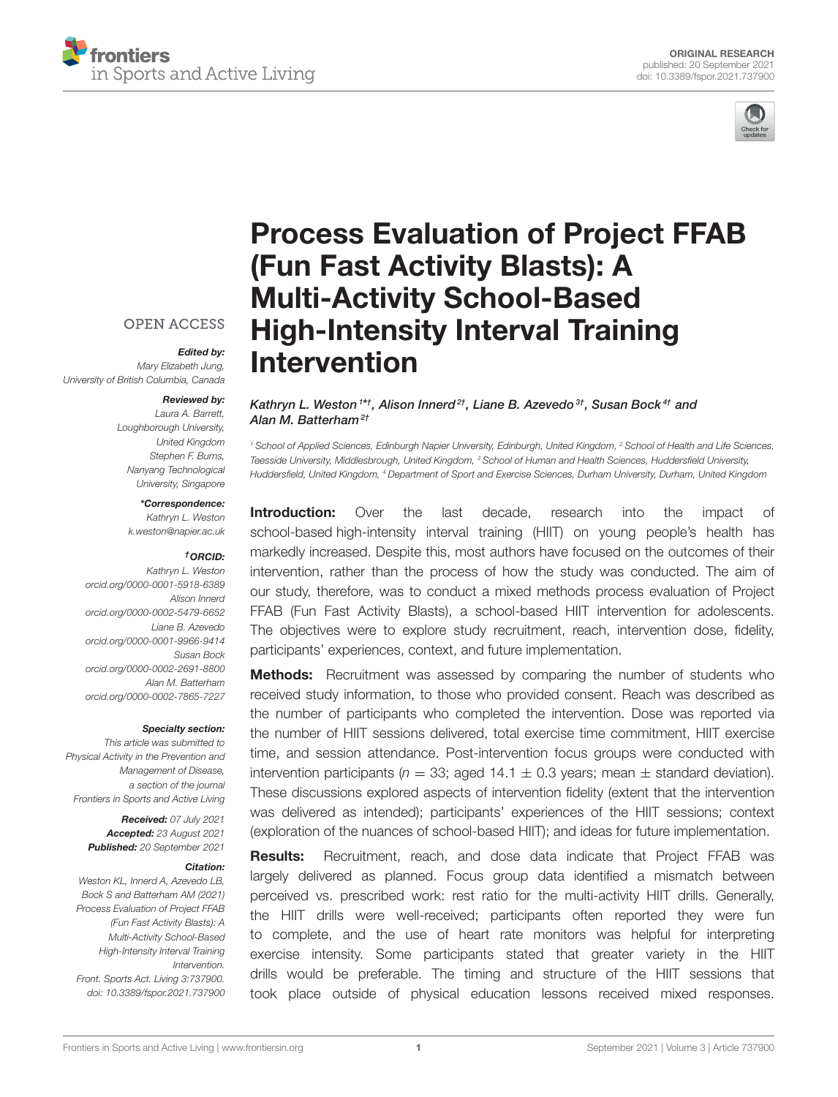



# [Process Evaluation of Project FFAB](https://www.frontiersin.org/articles/10.3389/fspor.2021.737900/full) (Fun Fast Activity Blasts): A Multi-Activity School-Based High-Intensity Interval Training Intervention

#### Kathryn L. Weston 1\*†, Alison Innerd<sup>2†</sup>, Liane B. Azevedo <sup>3†</sup>, Susan Bock <sup>4†</sup> and Alan M. Batterham<sup>2t</sup>

*<sup>1</sup> School of Applied Sciences, Edinburgh Napier University, Edinburgh, United Kingdom, <sup>2</sup> School of Health and Life Sciences, Teesside University, Middlesbrough, United Kingdom, <sup>3</sup> School of Human and Health Sciences, Huddersfield University, Huddersfield, United Kingdom, <sup>4</sup> Department of Sport and Exercise Sciences, Durham University, Durham, United Kingdom*

**Introduction:** Over the last decade, research into the impact of school-based high-intensity interval training (HIIT) on young people's health has markedly increased. Despite this, most authors have focused on the outcomes of their intervention, rather than the process of how the study was conducted. The aim of our study, therefore, was to conduct a mixed methods process evaluation of Project FFAB (Fun Fast Activity Blasts), a school-based HIIT intervention for adolescents. The objectives were to explore study recruitment, reach, intervention dose, fidelity, participants' experiences, context, and future implementation.

**Methods:** Recruitment was assessed by comparing the number of students who received study information, to those who provided consent. Reach was described as the number of participants who completed the intervention. Dose was reported via the number of HIIT sessions delivered, total exercise time commitment, HIIT exercise time, and session attendance. Post-intervention focus groups were conducted with intervention participants ( $n = 33$ ; aged 14.1  $\pm$  0.3 years; mean  $\pm$  standard deviation). These discussions explored aspects of intervention fidelity (extent that the intervention was delivered as intended); participants' experiences of the HIIT sessions; context (exploration of the nuances of school-based HIIT); and ideas for future implementation.

Results: Recruitment, reach, and dose data indicate that Project FFAB was largely delivered as planned. Focus group data identified a mismatch between perceived vs. prescribed work: rest ratio for the multi-activity HIIT drills. Generally, the HIIT drills were well-received; participants often reported they were fun to complete, and the use of heart rate monitors was helpful for interpreting exercise intensity. Some participants stated that greater variety in the HIIT drills would be preferable. The timing and structure of the HIIT sessions that took place outside of physical education lessons received mixed responses.

### **OPEN ACCESS**

Edited by: *Mary Elizabeth Jung, University of British Columbia, Canada*

### Reviewed by:

*Laura A. Barrett, Loughborough University, United Kingdom Stephen F. Burns, Nanyang Technological University, Singapore*

#### \*Correspondence:

*Kathryn L. Weston [k.weston@napier.ac.uk](mailto:k.weston@napier.ac.uk)*

#### †ORCID:

*Kathryn L. Weston [orcid.org/0000-0001-5918-6389](https://orcid.org/0000-0001-5918-6389) Alison Innerd [orcid.org/0000-0002-5479-6652](https://orcid.org/0000-0002-5479-6652) Liane B. Azevedo [orcid.org/0000-0001-9966-9414](https://orcid.org/0000-0001-9966-9414) Susan Bock [orcid.org/0000-0002-2691-8800](https://orcid.org/0000-0002-2691-8800) Alan M. Batterham [orcid.org/0000-0002-7865-7227](https://orcid.org/0000-0002-7865-7227)*

#### Specialty section:

*This article was submitted to Physical Activity in the Prevention and Management of Disease, a section of the journal Frontiers in Sports and Active Living*

> Received: *07 July 2021* Accepted: *23 August 2021* Published: *20 September 2021*

#### Citation:

*Weston KL, Innerd A, Azevedo LB, Bock S and Batterham AM (2021) Process Evaluation of Project FFAB (Fun Fast Activity Blasts): A Multi-Activity School-Based High-Intensity Interval Training Intervention. Front. Sports Act. Living 3:737900. doi: [10.3389/fspor.2021.737900](https://doi.org/10.3389/fspor.2021.737900)*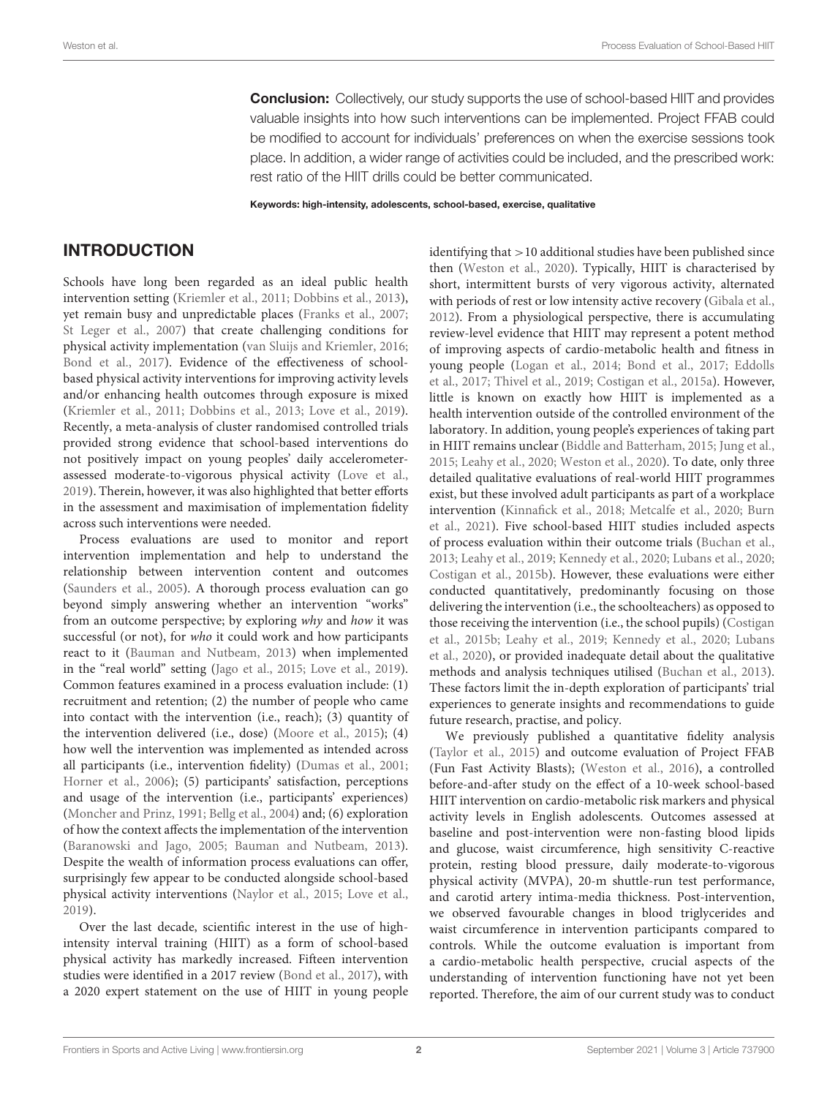**Conclusion:** Collectively, our study supports the use of school-based HIIT and provides valuable insights into how such interventions can be implemented. Project FFAB could be modified to account for individuals' preferences on when the exercise sessions took place. In addition, a wider range of activities could be included, and the prescribed work: rest ratio of the HIIT drills could be better communicated.

Keywords: high-intensity, adolescents, school-based, exercise, qualitative

# INTRODUCTION

Schools have long been regarded as an ideal public health intervention setting [\(Kriemler et al., 2011;](#page-13-0) [Dobbins et al., 2013\)](#page-12-0), yet remain busy and unpredictable places [\(Franks et al., 2007;](#page-12-1) [St Leger et al., 2007\)](#page-13-1) that create challenging conditions for physical activity implementation [\(van Sluijs and Kriemler, 2016;](#page-13-2) [Bond et al., 2017\)](#page-12-2). Evidence of the effectiveness of schoolbased physical activity interventions for improving activity levels and/or enhancing health outcomes through exposure is mixed [\(Kriemler et al., 2011;](#page-13-0) [Dobbins et al., 2013;](#page-12-0) [Love et al., 2019\)](#page-13-3). Recently, a meta-analysis of cluster randomised controlled trials provided strong evidence that school-based interventions do not positively impact on young peoples' daily accelerometerassessed moderate-to-vigorous physical activity [\(Love et al.,](#page-13-3) [2019\)](#page-13-3). Therein, however, it was also highlighted that better efforts in the assessment and maximisation of implementation fidelity across such interventions were needed.

Process evaluations are used to monitor and report intervention implementation and help to understand the relationship between intervention content and outcomes [\(Saunders et al., 2005\)](#page-13-4). A thorough process evaluation can go beyond simply answering whether an intervention "works" from an outcome perspective; by exploring why and how it was successful (or not), for who it could work and how participants react to it [\(Bauman and Nutbeam, 2013\)](#page-12-3) when implemented in the "real world" setting [\(Jago et al., 2015;](#page-12-4) [Love et al., 2019\)](#page-13-3). Common features examined in a process evaluation include: (1) recruitment and retention; (2) the number of people who came into contact with the intervention (i.e., reach); (3) quantity of the intervention delivered (i.e., dose) [\(Moore et al., 2015\)](#page-13-5); (4) how well the intervention was implemented as intended across all participants (i.e., intervention fidelity) [\(Dumas et al., 2001;](#page-12-5) [Horner et al., 2006\)](#page-12-6); (5) participants' satisfaction, perceptions and usage of the intervention (i.e., participants' experiences) [\(Moncher and Prinz, 1991;](#page-13-6) [Bellg et al., 2004\)](#page-12-7) and; (6) exploration of how the context affects the implementation of the intervention [\(Baranowski and Jago, 2005;](#page-12-8) [Bauman and Nutbeam, 2013\)](#page-12-3). Despite the wealth of information process evaluations can offer, surprisingly few appear to be conducted alongside school-based physical activity interventions [\(Naylor et al., 2015;](#page-13-7) [Love et al.,](#page-13-3) [2019\)](#page-13-3).

Over the last decade, scientific interest in the use of highintensity interval training (HIIT) as a form of school-based physical activity has markedly increased. Fifteen intervention studies were identified in a 2017 review [\(Bond et al., 2017\)](#page-12-2), with a 2020 expert statement on the use of HIIT in young people

identifying that >10 additional studies have been published since then [\(Weston et al., 2020\)](#page-14-0). Typically, HIIT is characterised by short, intermittent bursts of very vigorous activity, alternated with periods of rest or low intensity active recovery [\(Gibala et al.,](#page-12-9) [2012\)](#page-12-9). From a physiological perspective, there is accumulating review-level evidence that HIIT may represent a potent method of improving aspects of cardio-metabolic health and fitness in young people [\(Logan et al., 2014;](#page-13-8) [Bond et al., 2017;](#page-12-2) Eddolls et al., [2017;](#page-12-10) [Thivel et al., 2019;](#page-13-9) [Costigan et al., 2015a\)](#page-12-11). However, little is known on exactly how HIIT is implemented as a health intervention outside of the controlled environment of the laboratory. In addition, young people's experiences of taking part in HIIT remains unclear [\(Biddle and Batterham, 2015;](#page-12-12) [Jung et al.,](#page-12-13) [2015;](#page-12-13) [Leahy et al., 2020;](#page-13-10) [Weston et al., 2020\)](#page-14-0). To date, only three detailed qualitative evaluations of real-world HIIT programmes exist, but these involved adult participants as part of a workplace intervention [\(Kinnafick et al., 2018;](#page-13-11) [Metcalfe et al., 2020;](#page-13-12) Burn et al., [2021\)](#page-12-14). Five school-based HIIT studies included aspects of process evaluation within their outcome trials [\(Buchan et al.,](#page-12-15) [2013;](#page-12-15) [Leahy et al., 2019;](#page-13-13) [Kennedy et al., 2020;](#page-13-14) [Lubans et al.,](#page-13-15) [2020;](#page-13-15) [Costigan et al., 2015b\)](#page-12-16). However, these evaluations were either conducted quantitatively, predominantly focusing on those delivering the intervention (i.e., the schoolteachers) as opposed to those receiving the intervention (i.e., the school pupils) (Costigan et al., [2015b;](#page-12-16) [Leahy et al., 2019;](#page-13-13) [Kennedy et al., 2020;](#page-13-14) Lubans et al., [2020\)](#page-13-15), or provided inadequate detail about the qualitative methods and analysis techniques utilised [\(Buchan et al., 2013\)](#page-12-15). These factors limit the in-depth exploration of participants' trial experiences to generate insights and recommendations to guide future research, practise, and policy.

We previously published a quantitative fidelity analysis [\(Taylor et al., 2015\)](#page-13-16) and outcome evaluation of Project FFAB (Fun Fast Activity Blasts); [\(Weston et al., 2016\)](#page-14-1), a controlled before-and-after study on the effect of a 10-week school-based HIIT intervention on cardio-metabolic risk markers and physical activity levels in English adolescents. Outcomes assessed at baseline and post-intervention were non-fasting blood lipids and glucose, waist circumference, high sensitivity C-reactive protein, resting blood pressure, daily moderate-to-vigorous physical activity (MVPA), 20-m shuttle-run test performance, and carotid artery intima-media thickness. Post-intervention, we observed favourable changes in blood triglycerides and waist circumference in intervention participants compared to controls. While the outcome evaluation is important from a cardio-metabolic health perspective, crucial aspects of the understanding of intervention functioning have not yet been reported. Therefore, the aim of our current study was to conduct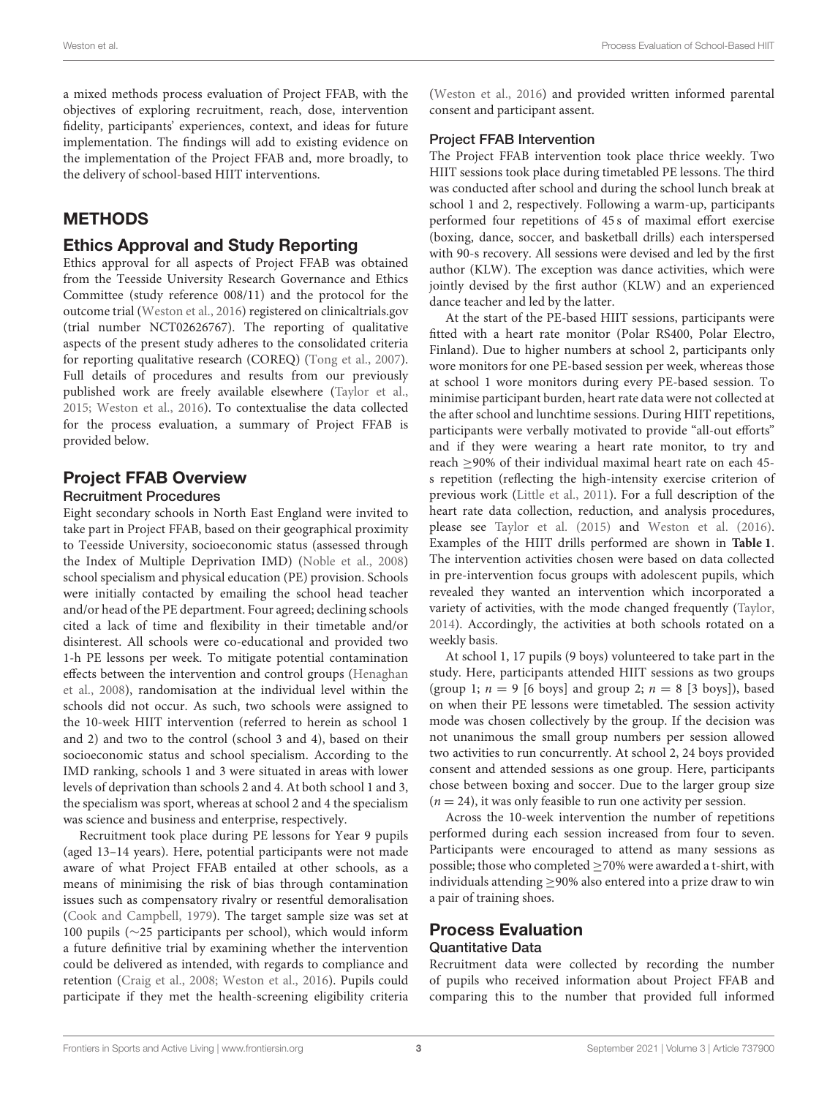a mixed methods process evaluation of Project FFAB, with the objectives of exploring recruitment, reach, dose, intervention fidelity, participants' experiences, context, and ideas for future implementation. The findings will add to existing evidence on the implementation of the Project FFAB and, more broadly, to the delivery of school-based HIIT interventions.

# **METHODS**

### Ethics Approval and Study Reporting

Ethics approval for all aspects of Project FFAB was obtained from the Teesside University Research Governance and Ethics Committee (study reference 008/11) and the protocol for the outcome trial [\(Weston et al., 2016\)](#page-14-1) registered on clinicaltrials.gov (trial number NCT02626767). The reporting of qualitative aspects of the present study adheres to the consolidated criteria for reporting qualitative research (COREQ) [\(Tong et al., 2007\)](#page-13-17). Full details of procedures and results from our previously published work are freely available elsewhere [\(Taylor et al.,](#page-13-16) [2015;](#page-13-16) [Weston et al., 2016\)](#page-14-1). To contextualise the data collected for the process evaluation, a summary of Project FFAB is provided below.

# Project FFAB Overview

#### Recruitment Procedures

Eight secondary schools in North East England were invited to take part in Project FFAB, based on their geographical proximity to Teesside University, socioeconomic status (assessed through the Index of Multiple Deprivation IMD) [\(Noble et al., 2008\)](#page-13-18) school specialism and physical education (PE) provision. Schools were initially contacted by emailing the school head teacher and/or head of the PE department. Four agreed; declining schools cited a lack of time and flexibility in their timetable and/or disinterest. All schools were co-educational and provided two 1-h PE lessons per week. To mitigate potential contamination effects between the intervention and control groups (Henaghan et al., [2008\)](#page-12-17), randomisation at the individual level within the schools did not occur. As such, two schools were assigned to the 10-week HIIT intervention (referred to herein as school 1 and 2) and two to the control (school 3 and 4), based on their socioeconomic status and school specialism. According to the IMD ranking, schools 1 and 3 were situated in areas with lower levels of deprivation than schools 2 and 4. At both school 1 and 3, the specialism was sport, whereas at school 2 and 4 the specialism was science and business and enterprise, respectively.

Recruitment took place during PE lessons for Year 9 pupils (aged 13–14 years). Here, potential participants were not made aware of what Project FFAB entailed at other schools, as a means of minimising the risk of bias through contamination issues such as compensatory rivalry or resentful demoralisation [\(Cook and Campbell, 1979\)](#page-12-18). The target sample size was set at 100 pupils (∼25 participants per school), which would inform a future definitive trial by examining whether the intervention could be delivered as intended, with regards to compliance and retention [\(Craig et al., 2008;](#page-12-19) [Weston et al., 2016\)](#page-14-1). Pupils could participate if they met the health-screening eligibility criteria [\(Weston et al., 2016\)](#page-14-1) and provided written informed parental consent and participant assent.

### Project FFAB Intervention

The Project FFAB intervention took place thrice weekly. Two HIIT sessions took place during timetabled PE lessons. The third was conducted after school and during the school lunch break at school 1 and 2, respectively. Following a warm-up, participants performed four repetitions of 45 s of maximal effort exercise (boxing, dance, soccer, and basketball drills) each interspersed with 90-s recovery. All sessions were devised and led by the first author (KLW). The exception was dance activities, which were jointly devised by the first author (KLW) and an experienced dance teacher and led by the latter.

At the start of the PE-based HIIT sessions, participants were fitted with a heart rate monitor (Polar RS400, Polar Electro, Finland). Due to higher numbers at school 2, participants only wore monitors for one PE-based session per week, whereas those at school 1 wore monitors during every PE-based session. To minimise participant burden, heart rate data were not collected at the after school and lunchtime sessions. During HIIT repetitions, participants were verbally motivated to provide "all-out efforts" and if they were wearing a heart rate monitor, to try and reach ≥90% of their individual maximal heart rate on each 45 s repetition (reflecting the high-intensity exercise criterion of previous work [\(Little et al., 2011\)](#page-13-19). For a full description of the heart rate data collection, reduction, and analysis procedures, please see [Taylor et al. \(2015\)](#page-13-16) and [Weston et al. \(2016\)](#page-14-1). Examples of the HIIT drills performed are shown in **[Table 1](#page-3-0)**. The intervention activities chosen were based on data collected in pre-intervention focus groups with adolescent pupils, which revealed they wanted an intervention which incorporated a variety of activities, with the mode changed frequently [\(Taylor,](#page-13-20) [2014\)](#page-13-20). Accordingly, the activities at both schools rotated on a weekly basis.

At school 1, 17 pupils (9 boys) volunteered to take part in the study. Here, participants attended HIIT sessions as two groups (group 1;  $n = 9$  [6 boys] and group 2;  $n = 8$  [3 boys]), based on when their PE lessons were timetabled. The session activity mode was chosen collectively by the group. If the decision was not unanimous the small group numbers per session allowed two activities to run concurrently. At school 2, 24 boys provided consent and attended sessions as one group. Here, participants chose between boxing and soccer. Due to the larger group size  $(n = 24)$ , it was only feasible to run one activity per session.

Across the 10-week intervention the number of repetitions performed during each session increased from four to seven. Participants were encouraged to attend as many sessions as possible; those who completed ≥70% were awarded a t-shirt, with individuals attending  $\geq$ 90% also entered into a prize draw to win a pair of training shoes.

### Process Evaluation Quantitative Data

Recruitment data were collected by recording the number of pupils who received information about Project FFAB and comparing this to the number that provided full informed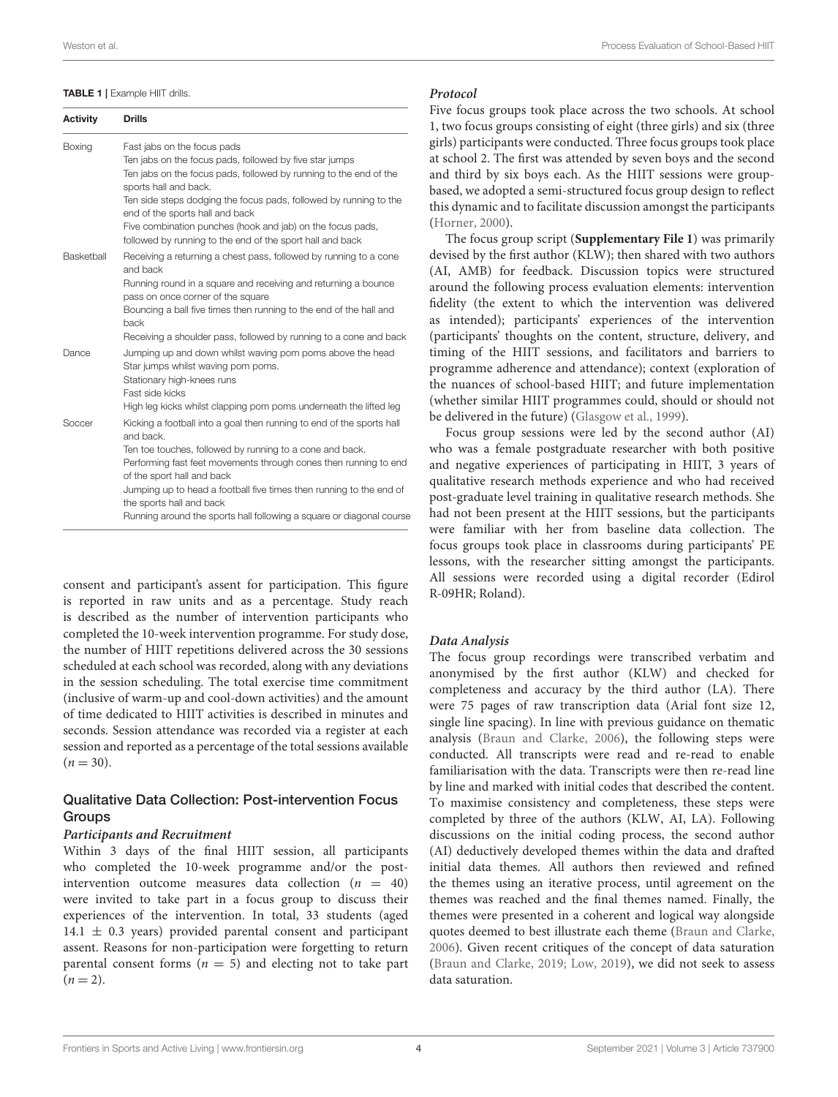#### <span id="page-3-0"></span>TABLE 1 | Example HIIT drills

Activity Drills

| <b>AVUVILY</b> |                                                                                                                                                                                                                                                                                                                                                                                                                             |
|----------------|-----------------------------------------------------------------------------------------------------------------------------------------------------------------------------------------------------------------------------------------------------------------------------------------------------------------------------------------------------------------------------------------------------------------------------|
| Boxing         | Fast jabs on the focus pads<br>Ten jabs on the focus pads, followed by five star jumps<br>Ten jabs on the focus pads, followed by running to the end of the<br>sports hall and back.<br>Ten side steps dodging the focus pads, followed by running to the<br>end of the sports hall and back<br>Five combination punches (hook and jab) on the focus pads,<br>followed by running to the end of the sport hall and back     |
| Basketball     | Receiving a returning a chest pass, followed by running to a cone<br>and back<br>Running round in a square and receiving and returning a bounce<br>pass on once corner of the square<br>Bouncing a ball five times then running to the end of the hall and<br>back<br>Receiving a shoulder pass, followed by running to a cone and back                                                                                     |
| Dance          | Jumping up and down whilst waving pom poms above the head<br>Star jumps whilst waving pom poms.<br>Stationary high-knees runs<br>Fast side kicks<br>High leg kicks whilst clapping pom poms underneath the lifted leg                                                                                                                                                                                                       |
| Soccer         | Kicking a football into a goal then running to end of the sports hall<br>and back.<br>Ten toe touches, followed by running to a cone and back.<br>Performing fast feet movements through cones then running to end<br>of the sport hall and back<br>Jumping up to head a football five times then running to the end of<br>the sports hall and back<br>Running around the sports hall following a square or diagonal course |

consent and participant's assent for participation. This figure is reported in raw units and as a percentage. Study reach is described as the number of intervention participants who completed the 10-week intervention programme. For study dose, the number of HIIT repetitions delivered across the 30 sessions scheduled at each school was recorded, along with any deviations in the session scheduling. The total exercise time commitment (inclusive of warm-up and cool-down activities) and the amount of time dedicated to HIIT activities is described in minutes and seconds. Session attendance was recorded via a register at each session and reported as a percentage of the total sessions available  $(n = 30)$ .

### Qualitative Data Collection: Post-intervention Focus **Groups**

#### **Participants and Recruitment**

Within 3 days of the final HIIT session, all participants who completed the 10-week programme and/or the postintervention outcome measures data collection  $(n = 40)$ were invited to take part in a focus group to discuss their experiences of the intervention. In total, 33 students (aged  $14.1 \pm 0.3$  years) provided parental consent and participant assent. Reasons for non-participation were forgetting to return parental consent forms ( $n = 5$ ) and electing not to take part  $(n = 2)$ .

### **Protocol**

Five focus groups took place across the two schools. At school 1, two focus groups consisting of eight (three girls) and six (three girls) participants were conducted. Three focus groups took place at school 2. The first was attended by seven boys and the second and third by six boys each. As the HIIT sessions were groupbased, we adopted a semi-structured focus group design to reflect this dynamic and to facilitate discussion amongst the participants [\(Horner, 2000\)](#page-12-20).

The focus group script (**[Supplementary File 1](#page-12-21)**) was primarily devised by the first author (KLW); then shared with two authors (AI, AMB) for feedback. Discussion topics were structured around the following process evaluation elements: intervention fidelity (the extent to which the intervention was delivered as intended); participants' experiences of the intervention (participants' thoughts on the content, structure, delivery, and timing of the HIIT sessions, and facilitators and barriers to programme adherence and attendance); context (exploration of the nuances of school-based HIIT; and future implementation (whether similar HIIT programmes could, should or should not be delivered in the future) [\(Glasgow et al., 1999\)](#page-12-22).

Focus group sessions were led by the second author (AI) who was a female postgraduate researcher with both positive and negative experiences of participating in HIIT, 3 years of qualitative research methods experience and who had received post-graduate level training in qualitative research methods. She had not been present at the HIIT sessions, but the participants were familiar with her from baseline data collection. The focus groups took place in classrooms during participants' PE lessons, with the researcher sitting amongst the participants. All sessions were recorded using a digital recorder (Edirol R-09HR; Roland).

#### **Data Analysis**

The focus group recordings were transcribed verbatim and anonymised by the first author (KLW) and checked for completeness and accuracy by the third author (LA). There were 75 pages of raw transcription data (Arial font size 12, single line spacing). In line with previous guidance on thematic analysis [\(Braun and Clarke, 2006\)](#page-12-23), the following steps were conducted. All transcripts were read and re-read to enable familiarisation with the data. Transcripts were then re-read line by line and marked with initial codes that described the content. To maximise consistency and completeness, these steps were completed by three of the authors (KLW, AI, LA). Following discussions on the initial coding process, the second author (AI) deductively developed themes within the data and drafted initial data themes. All authors then reviewed and refined the themes using an iterative process, until agreement on the themes was reached and the final themes named. Finally, the themes were presented in a coherent and logical way alongside quotes deemed to best illustrate each theme [\(Braun and Clarke,](#page-12-23) [2006\)](#page-12-23). Given recent critiques of the concept of data saturation [\(Braun and Clarke, 2019;](#page-12-24) [Low, 2019\)](#page-13-21), we did not seek to assess data saturation.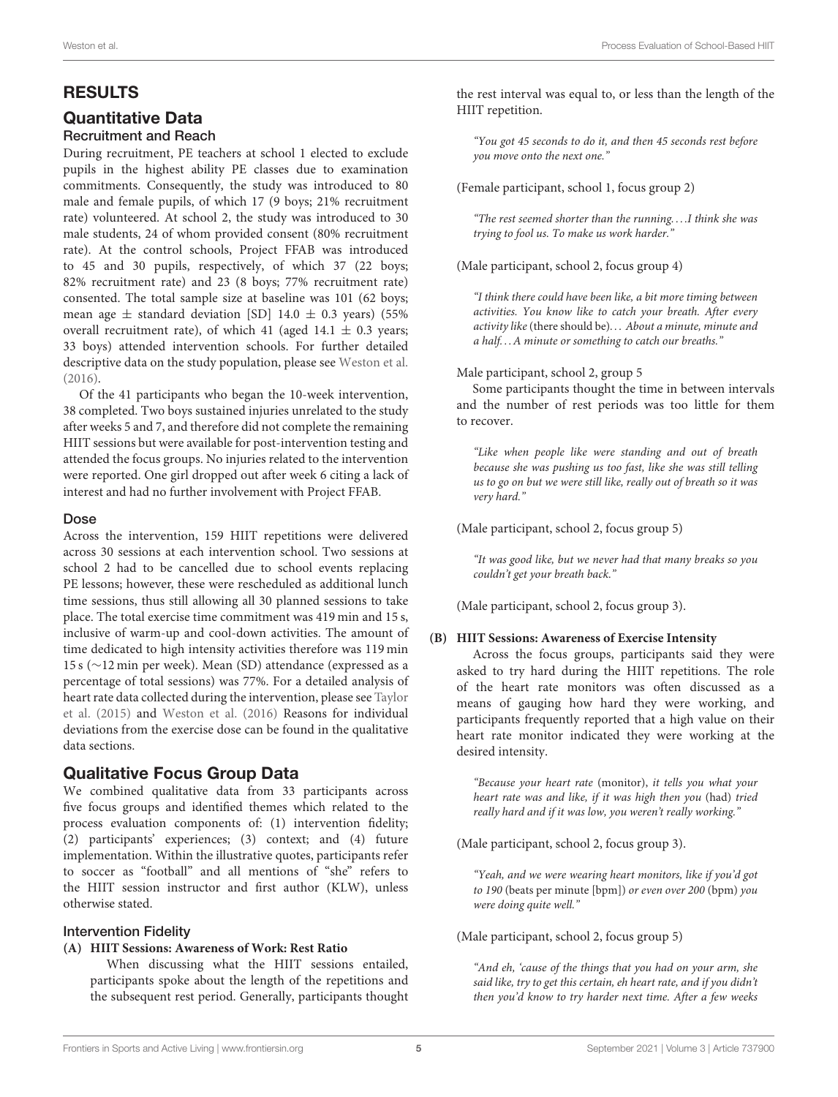## RESULTS

# Quantitative Data

### Recruitment and Reach

During recruitment, PE teachers at school 1 elected to exclude pupils in the highest ability PE classes due to examination commitments. Consequently, the study was introduced to 80 male and female pupils, of which 17 (9 boys; 21% recruitment rate) volunteered. At school 2, the study was introduced to 30 male students, 24 of whom provided consent (80% recruitment rate). At the control schools, Project FFAB was introduced to 45 and 30 pupils, respectively, of which 37 (22 boys; 82% recruitment rate) and 23 (8 boys; 77% recruitment rate) consented. The total sample size at baseline was 101 (62 boys; mean age  $\pm$  standard deviation [SD] 14.0  $\pm$  0.3 years) (55% overall recruitment rate), of which 41 (aged 14.1  $\pm$  0.3 years; 33 boys) attended intervention schools. For further detailed descriptive data on the study population, please see [Weston et al.](#page-14-1) [\(2016\)](#page-14-1).

Of the 41 participants who began the 10-week intervention, 38 completed. Two boys sustained injuries unrelated to the study after weeks 5 and 7, and therefore did not complete the remaining HIIT sessions but were available for post-intervention testing and attended the focus groups. No injuries related to the intervention were reported. One girl dropped out after week 6 citing a lack of interest and had no further involvement with Project FFAB.

#### Dose

Across the intervention, 159 HIIT repetitions were delivered across 30 sessions at each intervention school. Two sessions at school 2 had to be cancelled due to school events replacing PE lessons; however, these were rescheduled as additional lunch time sessions, thus still allowing all 30 planned sessions to take place. The total exercise time commitment was 419 min and 15 s, inclusive of warm-up and cool-down activities. The amount of time dedicated to high intensity activities therefore was 119 min 15 s (∼12 min per week). Mean (SD) attendance (expressed as a percentage of total sessions) was 77%. For a detailed analysis of heart rate data collected during the intervention, please see Taylor et al. [\(2015\)](#page-13-16) and [Weston et al. \(2016\)](#page-14-1) Reasons for individual deviations from the exercise dose can be found in the qualitative data sections.

### Qualitative Focus Group Data

We combined qualitative data from 33 participants across five focus groups and identified themes which related to the process evaluation components of: (1) intervention fidelity; (2) participants' experiences; (3) context; and (4) future implementation. Within the illustrative quotes, participants refer to soccer as "football" and all mentions of "she" refers to the HIIT session instructor and first author (KLW), unless otherwise stated.

#### Intervention Fidelity

#### **(A) HIIT Sessions: Awareness of Work: Rest Ratio**

When discussing what the HIIT sessions entailed, participants spoke about the length of the repetitions and the subsequent rest period. Generally, participants thought the rest interval was equal to, or less than the length of the HIIT repetition.

"You got 45 seconds to do it, and then 45 seconds rest before you move onto the next one."

(Female participant, school 1, focus group 2)

"The rest seemed shorter than the running. . . .I think she was trying to fool us. To make us work harder."

(Male participant, school 2, focus group 4)

"I think there could have been like, a bit more timing between activities. You know like to catch your breath. After every activity like (there should be). . . About a minute, minute and a half. . . A minute or something to catch our breaths."

Male participant, school 2, group 5

Some participants thought the time in between intervals and the number of rest periods was too little for them to recover.

"Like when people like were standing and out of breath because she was pushing us too fast, like she was still telling us to go on but we were still like, really out of breath so it was very hard."

(Male participant, school 2, focus group 5)

"It was good like, but we never had that many breaks so you couldn't get your breath back."

(Male participant, school 2, focus group 3).

#### **(B) HIIT Sessions: Awareness of Exercise Intensity**

Across the focus groups, participants said they were asked to try hard during the HIIT repetitions. The role of the heart rate monitors was often discussed as a means of gauging how hard they were working, and participants frequently reported that a high value on their heart rate monitor indicated they were working at the desired intensity.

"Because your heart rate (monitor), it tells you what your heart rate was and like, if it was high then you (had) tried really hard and if it was low, you weren't really working."

(Male participant, school 2, focus group 3).

"Yeah, and we were wearing heart monitors, like if you'd got to 190 (beats per minute [bpm]) or even over 200 (bpm) you were doing quite well."

(Male participant, school 2, focus group 5)

"And eh, 'cause of the things that you had on your arm, she said like, try to get this certain, eh heart rate, and if you didn't then you'd know to try harder next time. After a few weeks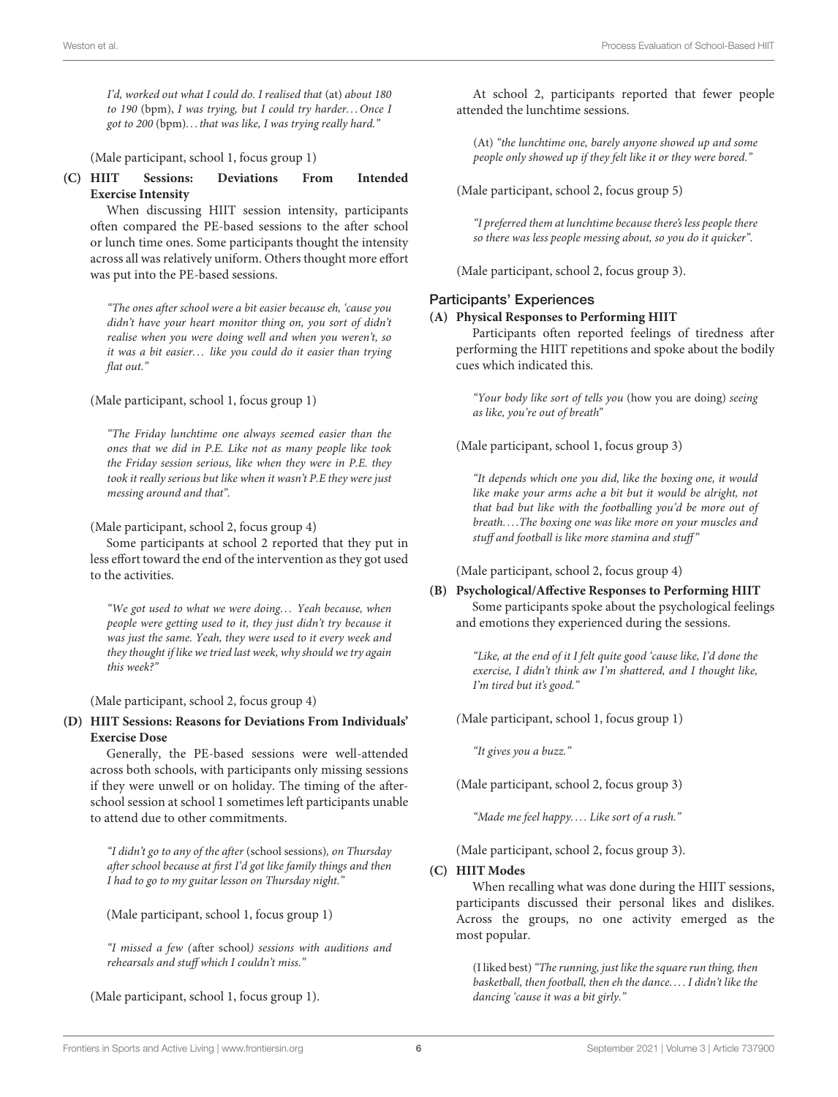I'd, worked out what I could do. I realised that (at) about 180 to 190 (bpm), I was trying, but I could try harder... Once I got to 200 (bpm). . . that was like, I was trying really hard."

(Male participant, school 1, focus group 1)

#### **(C) HIIT Sessions: Deviations From Intended Exercise Intensity**

When discussing HIIT session intensity, participants often compared the PE-based sessions to the after school or lunch time ones. Some participants thought the intensity across all was relatively uniform. Others thought more effort was put into the PE-based sessions.

"The ones after school were a bit easier because eh, 'cause you didn't have your heart monitor thing on, you sort of didn't realise when you were doing well and when you weren't, so it was a bit easier... like you could do it easier than trying flat out."

(Male participant, school 1, focus group 1)

"The Friday lunchtime one always seemed easier than the ones that we did in P.E. Like not as many people like took the Friday session serious, like when they were in P.E. they took it really serious but like when it wasn't P.E they were just messing around and that".

(Male participant, school 2, focus group 4)

Some participants at school 2 reported that they put in less effort toward the end of the intervention as they got used to the activities.

"We got used to what we were doing. . . Yeah because, when people were getting used to it, they just didn't try because it was just the same. Yeah, they were used to it every week and they thought if like we tried last week, why should we try again this week?"

#### (Male participant, school 2, focus group 4)

#### **(D) HIIT Sessions: Reasons for Deviations From Individuals' Exercise Dose**

Generally, the PE-based sessions were well-attended across both schools, with participants only missing sessions if they were unwell or on holiday. The timing of the afterschool session at school 1 sometimes left participants unable to attend due to other commitments.

"I didn't go to any of the after (school sessions), on Thursday after school because at first I'd got like family things and then I had to go to my guitar lesson on Thursday night."

(Male participant, school 1, focus group 1)

"I missed a few (after school) sessions with auditions and rehearsals and stuff which I couldn't miss."

(Male participant, school 1, focus group 1).

At school 2, participants reported that fewer people attended the lunchtime sessions.

(At) "the lunchtime one, barely anyone showed up and some people only showed up if they felt like it or they were bored."

(Male participant, school 2, focus group 5)

"I preferred them at lunchtime because there's less people there so there was less people messing about, so you do it quicker".

(Male participant, school 2, focus group 3).

#### Participants' Experiences

#### **(A) Physical Responses to Performing HIIT**

Participants often reported feelings of tiredness after performing the HIIT repetitions and spoke about the bodily cues which indicated this.

"Your body like sort of tells you (how you are doing) seeing as like, you're out of breath"

(Male participant, school 1, focus group 3)

"It depends which one you did, like the boxing one, it would like make your arms ache a bit but it would be alright, not that bad but like with the footballing you'd be more out of breath. . . .The boxing one was like more on your muscles and stuff and football is like more stamina and stuff"

(Male participant, school 2, focus group 4)

**(B) Psychological/Affective Responses to Performing HIIT** Some participants spoke about the psychological feelings and emotions they experienced during the sessions.

> "Like, at the end of it I felt quite good 'cause like, I'd done the exercise, I didn't think aw I'm shattered, and I thought like, I'm tired but it's good."

(Male participant, school 1, focus group 1)

"It gives you a buzz."

(Male participant, school 2, focus group 3)

"Made me feel happy.... Like sort of a rush."

(Male participant, school 2, focus group 3).

#### **(C) HIIT Modes**

When recalling what was done during the HIIT sessions, participants discussed their personal likes and dislikes. Across the groups, no one activity emerged as the most popular.

(I liked best)"The running, just like the square run thing, then basketball, then football, then eh the dance. . . . I didn't like the dancing 'cause it was a bit girly."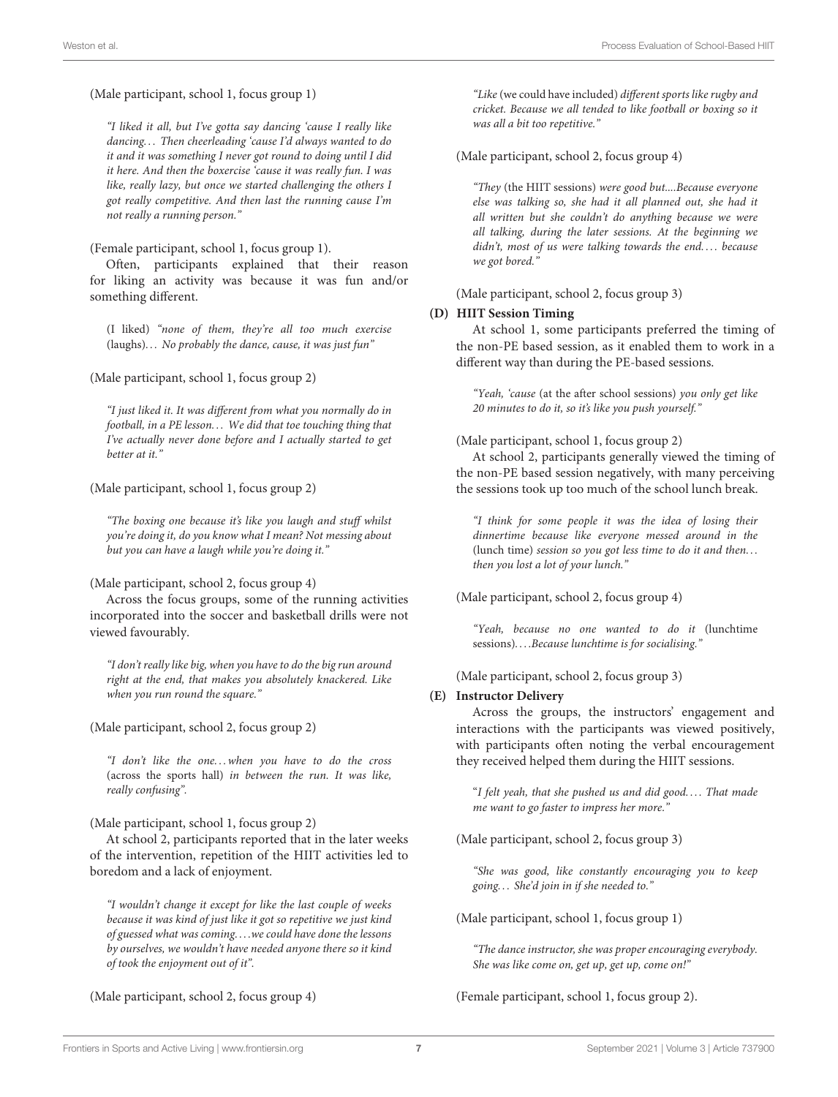(Male participant, school 1, focus group 1)

"I liked it all, but I've gotta say dancing 'cause I really like dancing. . . Then cheerleading 'cause I'd always wanted to do it and it was something I never got round to doing until I did it here. And then the boxercise 'cause it was really fun. I was like, really lazy, but once we started challenging the others I got really competitive. And then last the running cause I'm not really a running person."

(Female participant, school 1, focus group 1).

Often, participants explained that their reason for liking an activity was because it was fun and/or something different.

(I liked) "none of them, they're all too much exercise  $(laughs) \ldots$  No probably the dance, cause, it was just fun"

(Male participant, school 1, focus group 2)

"I just liked it. It was different from what you normally do in football, in a PE lesson. . . We did that toe touching thing that I've actually never done before and I actually started to get better at it."

(Male participant, school 1, focus group 2)

"The boxing one because it's like you laugh and stuff whilst you're doing it, do you know what I mean? Not messing about but you can have a laugh while you're doing it."

(Male participant, school 2, focus group 4)

Across the focus groups, some of the running activities incorporated into the soccer and basketball drills were not viewed favourably.

"I don't really like big, when you have to do the big run around right at the end, that makes you absolutely knackered. Like when you run round the square."

(Male participant, school 2, focus group 2)

"I don't like the one. . . when you have to do the cross (across the sports hall) in between the run. It was like, really confusing".

(Male participant, school 1, focus group 2)

At school 2, participants reported that in the later weeks of the intervention, repetition of the HIIT activities led to boredom and a lack of enjoyment.

"I wouldn't change it except for like the last couple of weeks because it was kind of just like it got so repetitive we just kind of guessed what was coming. . . .we could have done the lessons by ourselves, we wouldn't have needed anyone there so it kind of took the enjoyment out of it".

(Male participant, school 2, focus group 4)

"Like (we could have included) different sports like rugby and cricket. Because we all tended to like football or boxing so it was all a bit too repetitive."

(Male participant, school 2, focus group 4)

"They (the HIIT sessions) were good but....Because everyone else was talking so, she had it all planned out, she had it all written but she couldn't do anything because we were all talking, during the later sessions. At the beginning we didn't, most of us were talking towards the end.... because we got bored."

(Male participant, school 2, focus group 3)

#### **(D) HIIT Session Timing**

At school 1, some participants preferred the timing of the non-PE based session, as it enabled them to work in a different way than during the PE-based sessions.

"Yeah, 'cause (at the after school sessions) you only get like 20 minutes to do it, so it's like you push yourself."

#### (Male participant, school 1, focus group 2)

At school 2, participants generally viewed the timing of the non-PE based session negatively, with many perceiving the sessions took up too much of the school lunch break.

"I think for some people it was the idea of losing their dinnertime because like everyone messed around in the (lunch time) session so you got less time to do it and then. . . then you lost a lot of your lunch."

(Male participant, school 2, focus group 4)

"Yeah, because no one wanted to do it (lunchtime sessions). . . .Because lunchtime is for socialising."

(Male participant, school 2, focus group 3)

#### **(E) Instructor Delivery**

Across the groups, the instructors' engagement and interactions with the participants was viewed positively, with participants often noting the verbal encouragement they received helped them during the HIIT sessions.

"I felt yeah, that she pushed us and did good.... That made me want to go faster to impress her more."

(Male participant, school 2, focus group 3)

"She was good, like constantly encouraging you to keep going. . . She'd join in if she needed to."

(Male participant, school 1, focus group 1)

"The dance instructor, she was proper encouraging everybody. She was like come on, get up, get up, come on!"

(Female participant, school 1, focus group 2).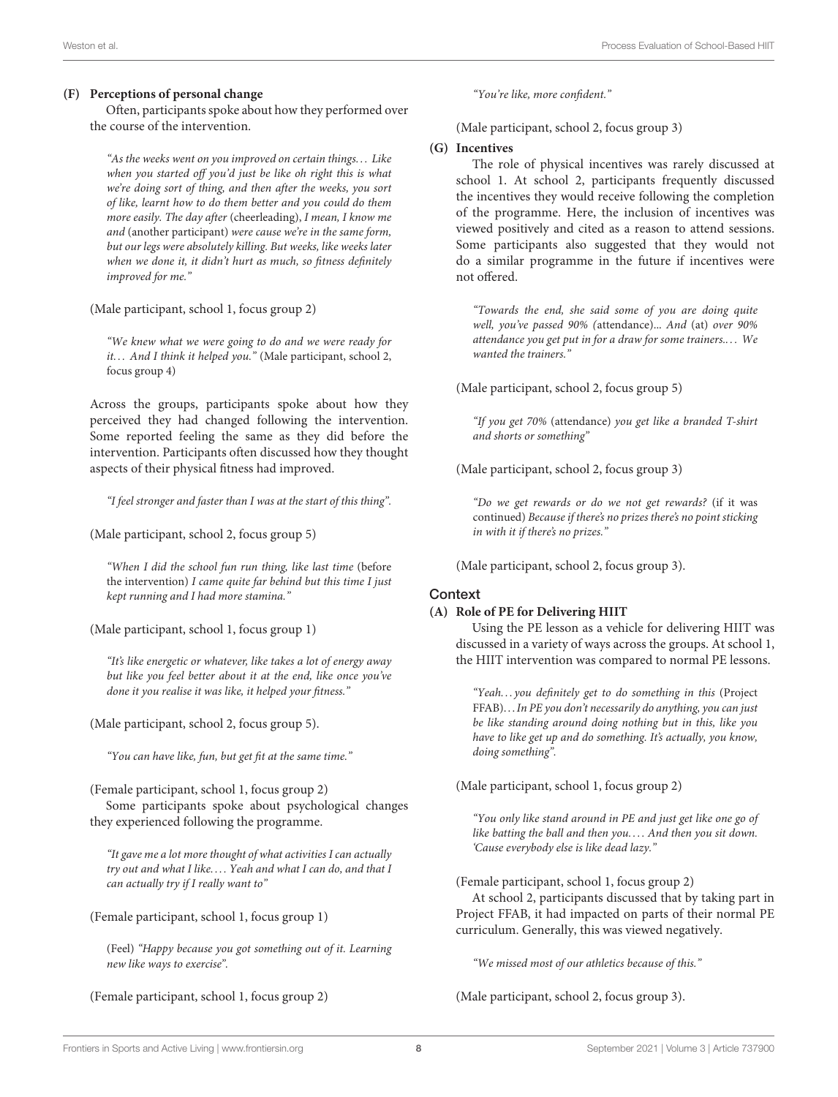#### **(F) Perceptions of personal change**

Often, participants spoke about how they performed over the course of the intervention.

"As the weeks went on you improved on certain things. . . Like when you started off you'd just be like oh right this is what we're doing sort of thing, and then after the weeks, you sort of like, learnt how to do them better and you could do them more easily. The day after (cheerleading), I mean, I know me and (another participant) were cause we're in the same form, but our legs were absolutely killing. But weeks, like weeks later when we done it, it didn't hurt as much, so fitness definitely improved for me."

(Male participant, school 1, focus group 2)

"We knew what we were going to do and we were ready for it... And I think it helped you." (Male participant, school 2, focus group 4)

Across the groups, participants spoke about how they perceived they had changed following the intervention. Some reported feeling the same as they did before the intervention. Participants often discussed how they thought aspects of their physical fitness had improved.

"I feel stronger and faster than I was at the start of this thing".

(Male participant, school 2, focus group 5)

"When I did the school fun run thing, like last time (before the intervention) I came quite far behind but this time I just kept running and I had more stamina."

(Male participant, school 1, focus group 1)

"It's like energetic or whatever, like takes a lot of energy away but like you feel better about it at the end, like once you've done it you realise it was like, it helped your fitness."

(Male participant, school 2, focus group 5).

"You can have like, fun, but get fit at the same time."

(Female participant, school 1, focus group 2) Some participants spoke about psychological changes they experienced following the programme.

"It gave me a lot more thought of what activities I can actually try out and what I like.... Yeah and what I can do, and that I can actually try if I really want to"

(Female participant, school 1, focus group 1)

(Feel) "Happy because you got something out of it. Learning new like ways to exercise".

(Female participant, school 1, focus group 2)

"You're like, more confident."

(Male participant, school 2, focus group 3)

#### **(G) Incentives**

The role of physical incentives was rarely discussed at school 1. At school 2, participants frequently discussed the incentives they would receive following the completion of the programme. Here, the inclusion of incentives was viewed positively and cited as a reason to attend sessions. Some participants also suggested that they would not do a similar programme in the future if incentives were not offered.

"Towards the end, she said some of you are doing quite well, you've passed 90% (attendance)... And (at) over 90% attendance you get put in for a draw for some trainers.... We wanted the trainers."

(Male participant, school 2, focus group 5)

"If you get 70% (attendance) you get like a branded T-shirt and shorts or something"

(Male participant, school 2, focus group 3)

"Do we get rewards or do we not get rewards? (if it was continued) Because if there's no prizes there's no point sticking in with it if there's no prizes."

(Male participant, school 2, focus group 3).

#### **Context**

#### **(A) Role of PE for Delivering HIIT**

Using the PE lesson as a vehicle for delivering HIIT was discussed in a variety of ways across the groups. At school 1, the HIIT intervention was compared to normal PE lessons.

"Yeah... you definitely get to do something in this (Project FFAB). . .In PE you don't necessarily do anything, you can just be like standing around doing nothing but in this, like you have to like get up and do something. It's actually, you know, doing something".

(Male participant, school 1, focus group 2)

"You only like stand around in PE and just get like one go of like batting the ball and then you.... And then you sit down. 'Cause everybody else is like dead lazy."

(Female participant, school 1, focus group 2)

At school 2, participants discussed that by taking part in Project FFAB, it had impacted on parts of their normal PE curriculum. Generally, this was viewed negatively.

"We missed most of our athletics because of this."

(Male participant, school 2, focus group 3).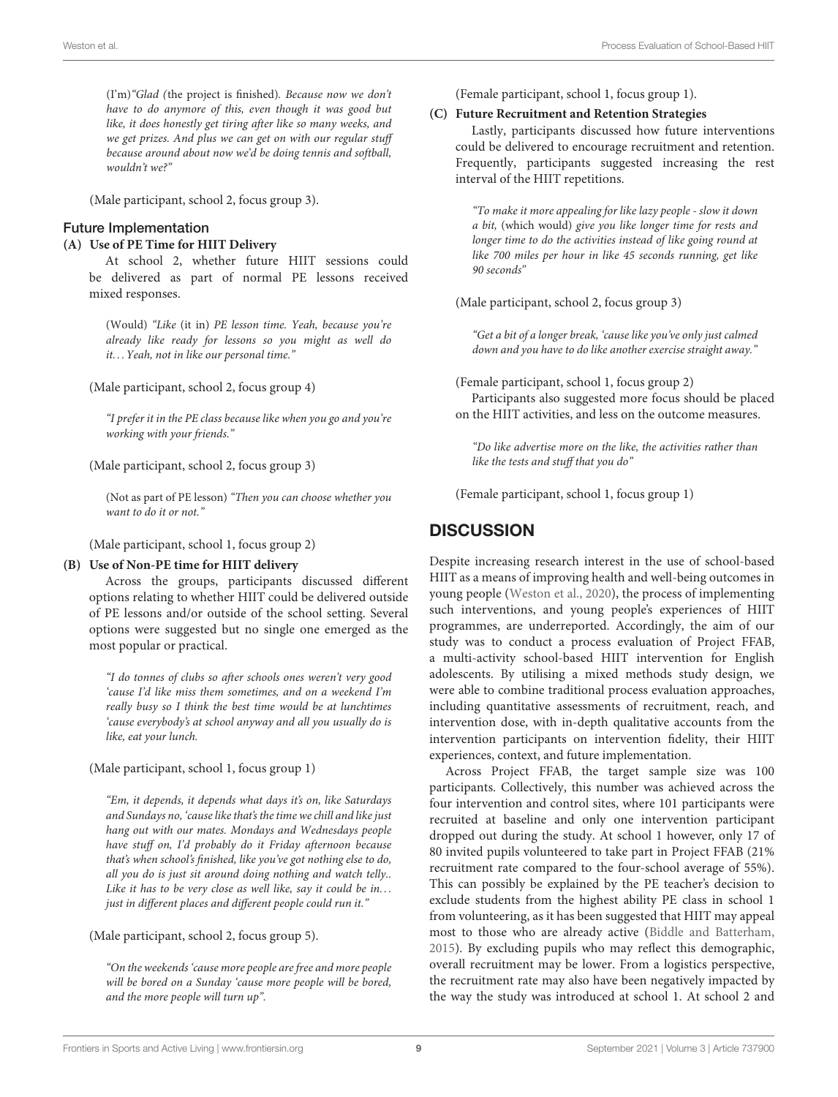(I'm)"Glad (the project is finished). Because now we don't have to do anymore of this, even though it was good but like, it does honestly get tiring after like so many weeks, and we get prizes. And plus we can get on with our regular stuff because around about now we'd be doing tennis and softball, wouldn't we?"

(Male participant, school 2, focus group 3).

#### Future Implementation

#### **(A) Use of PE Time for HIIT Delivery**

At school 2, whether future HIIT sessions could be delivered as part of normal PE lessons received mixed responses.

(Would) "Like (it in) PE lesson time. Yeah, because you're already like ready for lessons so you might as well do it. . . Yeah, not in like our personal time."

(Male participant, school 2, focus group 4)

"I prefer it in the PE class because like when you go and you're working with your friends."

(Male participant, school 2, focus group 3)

(Not as part of PE lesson) "Then you can choose whether you want to do it or not."

(Male participant, school 1, focus group 2)

#### **(B) Use of Non-PE time for HIIT delivery**

Across the groups, participants discussed different options relating to whether HIIT could be delivered outside of PE lessons and/or outside of the school setting. Several options were suggested but no single one emerged as the most popular or practical.

"I do tonnes of clubs so after schools ones weren't very good 'cause I'd like miss them sometimes, and on a weekend I'm really busy so I think the best time would be at lunchtimes 'cause everybody's at school anyway and all you usually do is like, eat your lunch.

(Male participant, school 1, focus group 1)

"Em, it depends, it depends what days it's on, like Saturdays and Sundays no, 'cause like that's the time we chill and like just hang out with our mates. Mondays and Wednesdays people have stuff on, I'd probably do it Friday afternoon because that's when school's finished, like you've got nothing else to do, all you do is just sit around doing nothing and watch telly.. Like it has to be very close as well like, say it could be in... just in different places and different people could run it."

(Male participant, school 2, focus group 5).

"On the weekends 'cause more people are free and more people will be bored on a Sunday 'cause more people will be bored, and the more people will turn up".

(Female participant, school 1, focus group 1).

#### **(C) Future Recruitment and Retention Strategies**

Lastly, participants discussed how future interventions could be delivered to encourage recruitment and retention. Frequently, participants suggested increasing the rest interval of the HIIT repetitions.

"To make it more appealing for like lazy people - slow it down a bit, (which would) give you like longer time for rests and longer time to do the activities instead of like going round at like 700 miles per hour in like 45 seconds running, get like 90 seconds"

(Male participant, school 2, focus group 3)

"Get a bit of a longer break, 'cause like you've only just calmed down and you have to do like another exercise straight away."

(Female participant, school 1, focus group 2)

Participants also suggested more focus should be placed on the HIIT activities, and less on the outcome measures.

"Do like advertise more on the like, the activities rather than like the tests and stuff that you do"

(Female participant, school 1, focus group 1)

### **DISCUSSION**

Despite increasing research interest in the use of school-based HIIT as a means of improving health and well-being outcomes in young people [\(Weston et al., 2020\)](#page-14-0), the process of implementing such interventions, and young people's experiences of HIIT programmes, are underreported. Accordingly, the aim of our study was to conduct a process evaluation of Project FFAB, a multi-activity school-based HIIT intervention for English adolescents. By utilising a mixed methods study design, we were able to combine traditional process evaluation approaches, including quantitative assessments of recruitment, reach, and intervention dose, with in-depth qualitative accounts from the intervention participants on intervention fidelity, their HIIT experiences, context, and future implementation.

Across Project FFAB, the target sample size was 100 participants. Collectively, this number was achieved across the four intervention and control sites, where 101 participants were recruited at baseline and only one intervention participant dropped out during the study. At school 1 however, only 17 of 80 invited pupils volunteered to take part in Project FFAB (21% recruitment rate compared to the four-school average of 55%). This can possibly be explained by the PE teacher's decision to exclude students from the highest ability PE class in school 1 from volunteering, as it has been suggested that HIIT may appeal most to those who are already active [\(Biddle and Batterham,](#page-12-12) [2015\)](#page-12-12). By excluding pupils who may reflect this demographic, overall recruitment may be lower. From a logistics perspective, the recruitment rate may also have been negatively impacted by the way the study was introduced at school 1. At school 2 and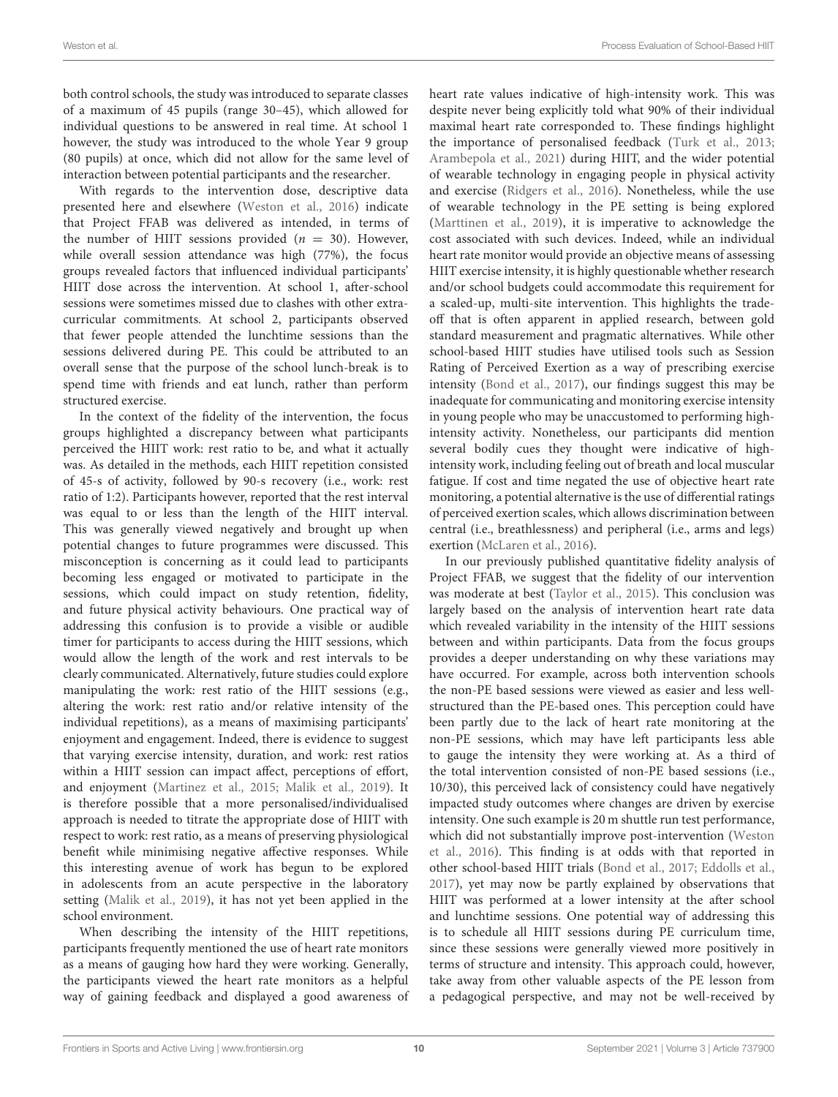both control schools, the study was introduced to separate classes of a maximum of 45 pupils (range 30–45), which allowed for individual questions to be answered in real time. At school 1 however, the study was introduced to the whole Year 9 group (80 pupils) at once, which did not allow for the same level of interaction between potential participants and the researcher.

With regards to the intervention dose, descriptive data presented here and elsewhere [\(Weston et al., 2016\)](#page-14-1) indicate that Project FFAB was delivered as intended, in terms of the number of HIIT sessions provided ( $n = 30$ ). However, while overall session attendance was high (77%), the focus groups revealed factors that influenced individual participants' HIIT dose across the intervention. At school 1, after-school sessions were sometimes missed due to clashes with other extracurricular commitments. At school 2, participants observed that fewer people attended the lunchtime sessions than the sessions delivered during PE. This could be attributed to an overall sense that the purpose of the school lunch-break is to spend time with friends and eat lunch, rather than perform structured exercise.

In the context of the fidelity of the intervention, the focus groups highlighted a discrepancy between what participants perceived the HIIT work: rest ratio to be, and what it actually was. As detailed in the methods, each HIIT repetition consisted of 45-s of activity, followed by 90-s recovery (i.e., work: rest ratio of 1:2). Participants however, reported that the rest interval was equal to or less than the length of the HIIT interval. This was generally viewed negatively and brought up when potential changes to future programmes were discussed. This misconception is concerning as it could lead to participants becoming less engaged or motivated to participate in the sessions, which could impact on study retention, fidelity, and future physical activity behaviours. One practical way of addressing this confusion is to provide a visible or audible timer for participants to access during the HIIT sessions, which would allow the length of the work and rest intervals to be clearly communicated. Alternatively, future studies could explore manipulating the work: rest ratio of the HIIT sessions (e.g., altering the work: rest ratio and/or relative intensity of the individual repetitions), as a means of maximising participants' enjoyment and engagement. Indeed, there is evidence to suggest that varying exercise intensity, duration, and work: rest ratios within a HIIT session can impact affect, perceptions of effort, and enjoyment [\(Martinez et al., 2015;](#page-13-22) [Malik et al., 2019\)](#page-13-23). It is therefore possible that a more personalised/individualised approach is needed to titrate the appropriate dose of HIIT with respect to work: rest ratio, as a means of preserving physiological benefit while minimising negative affective responses. While this interesting avenue of work has begun to be explored in adolescents from an acute perspective in the laboratory setting [\(Malik et al., 2019\)](#page-13-23), it has not yet been applied in the school environment.

When describing the intensity of the HIIT repetitions, participants frequently mentioned the use of heart rate monitors as a means of gauging how hard they were working. Generally, the participants viewed the heart rate monitors as a helpful way of gaining feedback and displayed a good awareness of heart rate values indicative of high-intensity work. This was despite never being explicitly told what 90% of their individual maximal heart rate corresponded to. These findings highlight the importance of personalised feedback [\(Turk et al., 2013;](#page-13-24) [Arambepola et al., 2021\)](#page-12-25) during HIIT, and the wider potential of wearable technology in engaging people in physical activity and exercise [\(Ridgers et al., 2016\)](#page-13-25). Nonetheless, while the use of wearable technology in the PE setting is being explored [\(Marttinen et al., 2019\)](#page-13-26), it is imperative to acknowledge the cost associated with such devices. Indeed, while an individual heart rate monitor would provide an objective means of assessing HIIT exercise intensity, it is highly questionable whether research and/or school budgets could accommodate this requirement for a scaled-up, multi-site intervention. This highlights the tradeoff that is often apparent in applied research, between gold standard measurement and pragmatic alternatives. While other school-based HIIT studies have utilised tools such as Session Rating of Perceived Exertion as a way of prescribing exercise intensity [\(Bond et al., 2017\)](#page-12-2), our findings suggest this may be inadequate for communicating and monitoring exercise intensity in young people who may be unaccustomed to performing highintensity activity. Nonetheless, our participants did mention several bodily cues they thought were indicative of highintensity work, including feeling out of breath and local muscular fatigue. If cost and time negated the use of objective heart rate monitoring, a potential alternative is the use of differential ratings of perceived exertion scales, which allows discrimination between central (i.e., breathlessness) and peripheral (i.e., arms and legs) exertion [\(McLaren et al., 2016\)](#page-13-27).

In our previously published quantitative fidelity analysis of Project FFAB, we suggest that the fidelity of our intervention was moderate at best [\(Taylor et al., 2015\)](#page-13-16). This conclusion was largely based on the analysis of intervention heart rate data which revealed variability in the intensity of the HIIT sessions between and within participants. Data from the focus groups provides a deeper understanding on why these variations may have occurred. For example, across both intervention schools the non-PE based sessions were viewed as easier and less wellstructured than the PE-based ones. This perception could have been partly due to the lack of heart rate monitoring at the non-PE sessions, which may have left participants less able to gauge the intensity they were working at. As a third of the total intervention consisted of non-PE based sessions (i.e., 10/30), this perceived lack of consistency could have negatively impacted study outcomes where changes are driven by exercise intensity. One such example is 20 m shuttle run test performance, which did not substantially improve post-intervention (Weston et al., [2016\)](#page-14-1). This finding is at odds with that reported in other school-based HIIT trials [\(Bond et al., 2017;](#page-12-2) [Eddolls et al.,](#page-12-10) [2017\)](#page-12-10), yet may now be partly explained by observations that HIIT was performed at a lower intensity at the after school and lunchtime sessions. One potential way of addressing this is to schedule all HIIT sessions during PE curriculum time, since these sessions were generally viewed more positively in terms of structure and intensity. This approach could, however, take away from other valuable aspects of the PE lesson from a pedagogical perspective, and may not be well-received by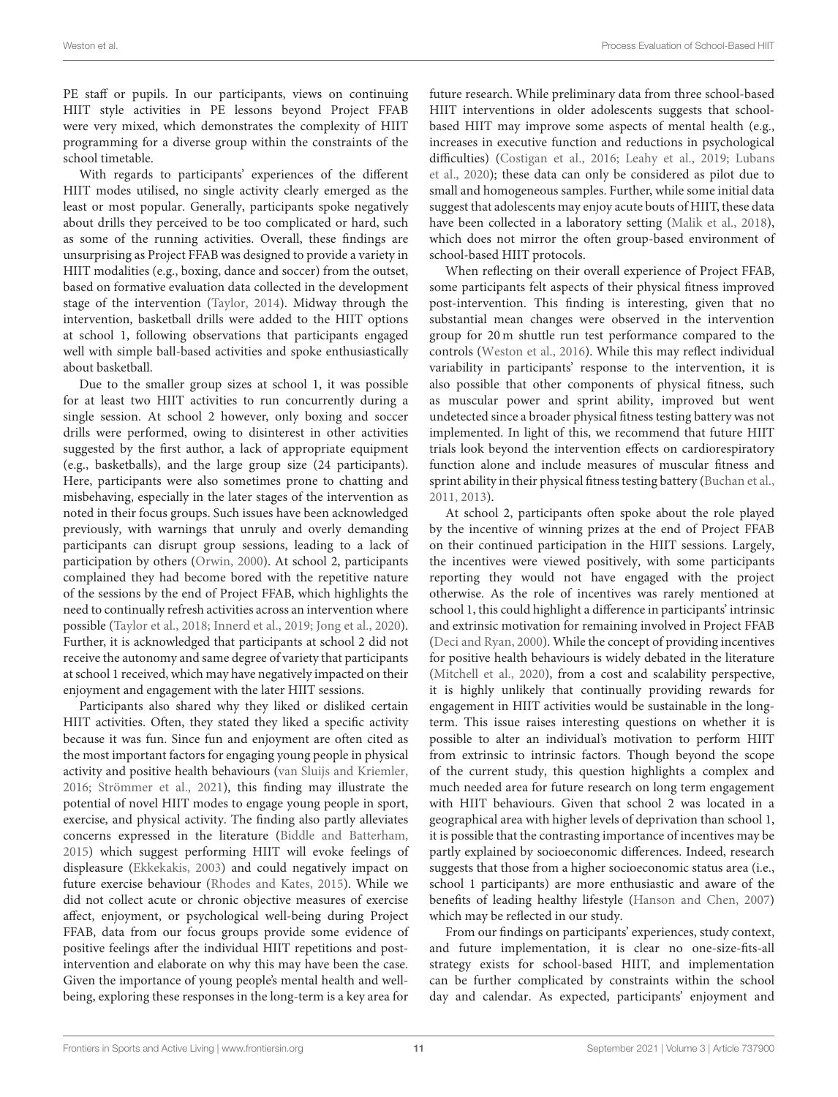PE staff or pupils. In our participants, views on continuing HIIT style activities in PE lessons beyond Project FFAB were very mixed, which demonstrates the complexity of HIIT programming for a diverse group within the constraints of the school timetable.

With regards to participants' experiences of the different HIIT modes utilised, no single activity clearly emerged as the least or most popular. Generally, participants spoke negatively about drills they perceived to be too complicated or hard, such as some of the running activities. Overall, these findings are unsurprising as Project FFAB was designed to provide a variety in HIIT modalities (e.g., boxing, dance and soccer) from the outset, based on formative evaluation data collected in the development stage of the intervention [\(Taylor, 2014\)](#page-13-20). Midway through the intervention, basketball drills were added to the HIIT options at school 1, following observations that participants engaged well with simple ball-based activities and spoke enthusiastically about basketball.

Due to the smaller group sizes at school 1, it was possible for at least two HIIT activities to run concurrently during a single session. At school 2 however, only boxing and soccer drills were performed, owing to disinterest in other activities suggested by the first author, a lack of appropriate equipment (e.g., basketballs), and the large group size (24 participants). Here, participants were also sometimes prone to chatting and misbehaving, especially in the later stages of the intervention as noted in their focus groups. Such issues have been acknowledged previously, with warnings that unruly and overly demanding participants can disrupt group sessions, leading to a lack of participation by others [\(Orwin, 2000\)](#page-13-28). At school 2, participants complained they had become bored with the repetitive nature of the sessions by the end of Project FFAB, which highlights the need to continually refresh activities across an intervention where possible [\(Taylor et al., 2018;](#page-13-29) [Innerd et al., 2019;](#page-12-26) [Jong et al., 2020\)](#page-12-27). Further, it is acknowledged that participants at school 2 did not receive the autonomy and same degree of variety that participants at school 1 received, which may have negatively impacted on their enjoyment and engagement with the later HIIT sessions.

Participants also shared why they liked or disliked certain HIIT activities. Often, they stated they liked a specific activity because it was fun. Since fun and enjoyment are often cited as the most important factors for engaging young people in physical activity and positive health behaviours [\(van Sluijs and Kriemler,](#page-13-2) [2016;](#page-13-2) [Strömmer et al., 2021\)](#page-13-30), this finding may illustrate the potential of novel HIIT modes to engage young people in sport, exercise, and physical activity. The finding also partly alleviates concerns expressed in the literature [\(Biddle and Batterham,](#page-12-12) [2015\)](#page-12-12) which suggest performing HIIT will evoke feelings of displeasure [\(Ekkekakis, 2003\)](#page-12-28) and could negatively impact on future exercise behaviour [\(Rhodes and Kates, 2015\)](#page-13-31). While we did not collect acute or chronic objective measures of exercise affect, enjoyment, or psychological well-being during Project FFAB, data from our focus groups provide some evidence of positive feelings after the individual HIIT repetitions and postintervention and elaborate on why this may have been the case. Given the importance of young people's mental health and wellbeing, exploring these responses in the long-term is a key area for future research. While preliminary data from three school-based HIIT interventions in older adolescents suggests that schoolbased HIIT may improve some aspects of mental health (e.g., increases in executive function and reductions in psychological difficulties) [\(Costigan et al., 2016;](#page-12-29) [Leahy et al., 2019;](#page-13-13) Lubans et al., [2020\)](#page-13-15); these data can only be considered as pilot due to small and homogeneous samples. Further, while some initial data suggest that adolescents may enjoy acute bouts of HIIT, these data have been collected in a laboratory setting [\(Malik et al., 2018\)](#page-13-32), which does not mirror the often group-based environment of school-based HIIT protocols.

When reflecting on their overall experience of Project FFAB, some participants felt aspects of their physical fitness improved post-intervention. This finding is interesting, given that no substantial mean changes were observed in the intervention group for 20 m shuttle run test performance compared to the controls [\(Weston et al., 2016\)](#page-14-1). While this may reflect individual variability in participants' response to the intervention, it is also possible that other components of physical fitness, such as muscular power and sprint ability, improved but went undetected since a broader physical fitness testing battery was not implemented. In light of this, we recommend that future HIIT trials look beyond the intervention effects on cardiorespiratory function alone and include measures of muscular fitness and sprint ability in their physical fitness testing battery [\(Buchan et al.,](#page-12-30) [2011,](#page-12-30) [2013\)](#page-12-15).

At school 2, participants often spoke about the role played by the incentive of winning prizes at the end of Project FFAB on their continued participation in the HIIT sessions. Largely, the incentives were viewed positively, with some participants reporting they would not have engaged with the project otherwise. As the role of incentives was rarely mentioned at school 1, this could highlight a difference in participants' intrinsic and extrinsic motivation for remaining involved in Project FFAB [\(Deci and Ryan, 2000\)](#page-12-31). While the concept of providing incentives for positive health behaviours is widely debated in the literature [\(Mitchell et al., 2020\)](#page-13-33), from a cost and scalability perspective, it is highly unlikely that continually providing rewards for engagement in HIIT activities would be sustainable in the longterm. This issue raises interesting questions on whether it is possible to alter an individual's motivation to perform HIIT from extrinsic to intrinsic factors. Though beyond the scope of the current study, this question highlights a complex and much needed area for future research on long term engagement with HIIT behaviours. Given that school 2 was located in a geographical area with higher levels of deprivation than school 1, it is possible that the contrasting importance of incentives may be partly explained by socioeconomic differences. Indeed, research suggests that those from a higher socioeconomic status area (i.e., school 1 participants) are more enthusiastic and aware of the benefits of leading healthy lifestyle [\(Hanson and Chen, 2007\)](#page-12-32) which may be reflected in our study.

From our findings on participants' experiences, study context, and future implementation, it is clear no one-size-fits-all strategy exists for school-based HIIT, and implementation can be further complicated by constraints within the school day and calendar. As expected, participants' enjoyment and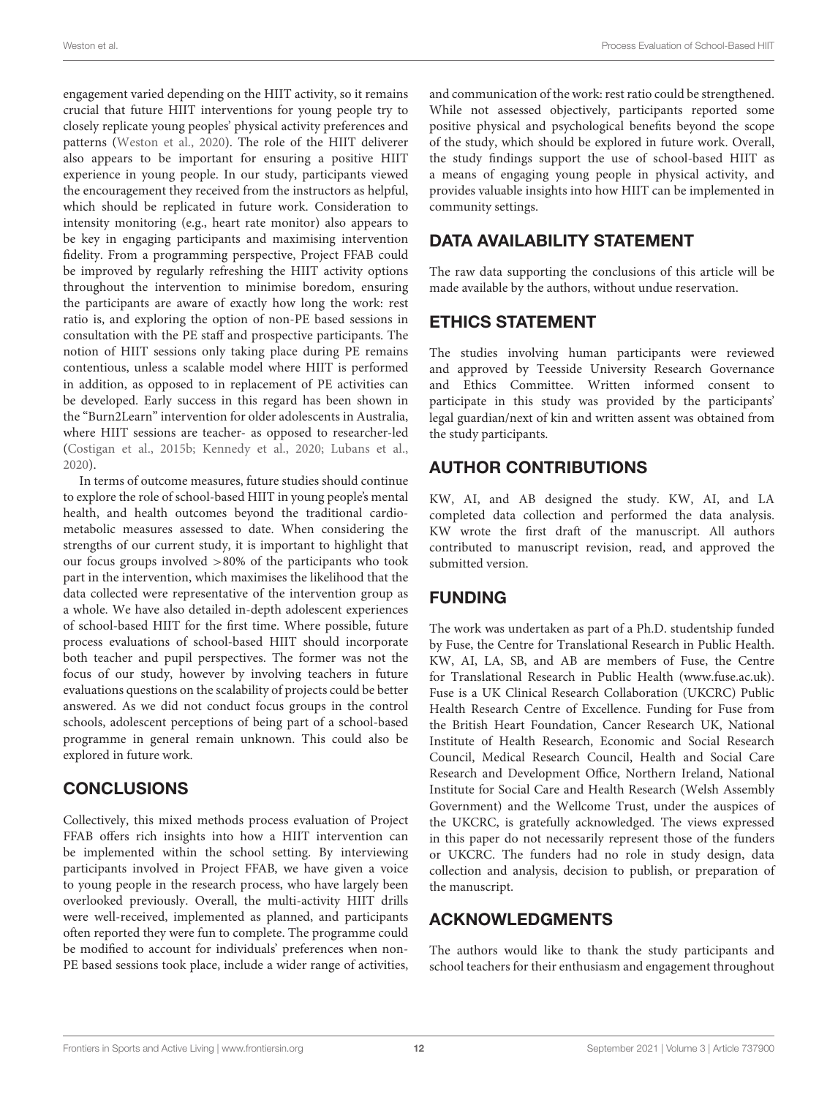engagement varied depending on the HIIT activity, so it remains crucial that future HIIT interventions for young people try to closely replicate young peoples' physical activity preferences and patterns [\(Weston et al., 2020\)](#page-14-0). The role of the HIIT deliverer also appears to be important for ensuring a positive HIIT experience in young people. In our study, participants viewed the encouragement they received from the instructors as helpful, which should be replicated in future work. Consideration to intensity monitoring (e.g., heart rate monitor) also appears to be key in engaging participants and maximising intervention fidelity. From a programming perspective, Project FFAB could be improved by regularly refreshing the HIIT activity options throughout the intervention to minimise boredom, ensuring the participants are aware of exactly how long the work: rest ratio is, and exploring the option of non-PE based sessions in consultation with the PE staff and prospective participants. The notion of HIIT sessions only taking place during PE remains contentious, unless a scalable model where HIIT is performed in addition, as opposed to in replacement of PE activities can be developed. Early success in this regard has been shown in the "Burn2Learn" intervention for older adolescents in Australia, where HIIT sessions are teacher- as opposed to researcher-led [\(Costigan et al., 2015b;](#page-12-16) [Kennedy et al., 2020;](#page-13-14) [Lubans et al.,](#page-13-15) [2020\)](#page-13-15).

In terms of outcome measures, future studies should continue to explore the role of school-based HIIT in young people's mental health, and health outcomes beyond the traditional cardiometabolic measures assessed to date. When considering the strengths of our current study, it is important to highlight that our focus groups involved >80% of the participants who took part in the intervention, which maximises the likelihood that the data collected were representative of the intervention group as a whole. We have also detailed in-depth adolescent experiences of school-based HIIT for the first time. Where possible, future process evaluations of school-based HIIT should incorporate both teacher and pupil perspectives. The former was not the focus of our study, however by involving teachers in future evaluations questions on the scalability of projects could be better answered. As we did not conduct focus groups in the control schools, adolescent perceptions of being part of a school-based programme in general remain unknown. This could also be explored in future work.

# **CONCLUSIONS**

Collectively, this mixed methods process evaluation of Project FFAB offers rich insights into how a HIIT intervention can be implemented within the school setting. By interviewing participants involved in Project FFAB, we have given a voice to young people in the research process, who have largely been overlooked previously. Overall, the multi-activity HIIT drills were well-received, implemented as planned, and participants often reported they were fun to complete. The programme could be modified to account for individuals' preferences when non-PE based sessions took place, include a wider range of activities,

and communication of the work: rest ratio could be strengthened. While not assessed objectively, participants reported some positive physical and psychological benefits beyond the scope of the study, which should be explored in future work. Overall, the study findings support the use of school-based HIIT as a means of engaging young people in physical activity, and provides valuable insights into how HIIT can be implemented in community settings.

# DATA AVAILABILITY STATEMENT

The raw data supporting the conclusions of this article will be made available by the authors, without undue reservation.

# ETHICS STATEMENT

The studies involving human participants were reviewed and approved by Teesside University Research Governance and Ethics Committee. Written informed consent to participate in this study was provided by the participants' legal guardian/next of kin and written assent was obtained from the study participants.

# AUTHOR CONTRIBUTIONS

KW, AI, and AB designed the study. KW, AI, and LA completed data collection and performed the data analysis. KW wrote the first draft of the manuscript. All authors contributed to manuscript revision, read, and approved the submitted version.

# FUNDING

The work was undertaken as part of a Ph.D. studentship funded by Fuse, the Centre for Translational Research in Public Health. KW, AI, LA, SB, and AB are members of Fuse, the Centre for Translational Research in Public Health [\(www.fuse.ac.uk\)](http://www.fuse.ac.uk). Fuse is a UK Clinical Research Collaboration (UKCRC) Public Health Research Centre of Excellence. Funding for Fuse from the British Heart Foundation, Cancer Research UK, National Institute of Health Research, Economic and Social Research Council, Medical Research Council, Health and Social Care Research and Development Office, Northern Ireland, National Institute for Social Care and Health Research (Welsh Assembly Government) and the Wellcome Trust, under the auspices of the UKCRC, is gratefully acknowledged. The views expressed in this paper do not necessarily represent those of the funders or UKCRC. The funders had no role in study design, data collection and analysis, decision to publish, or preparation of the manuscript.

# ACKNOWLEDGMENTS

The authors would like to thank the study participants and school teachers for their enthusiasm and engagement throughout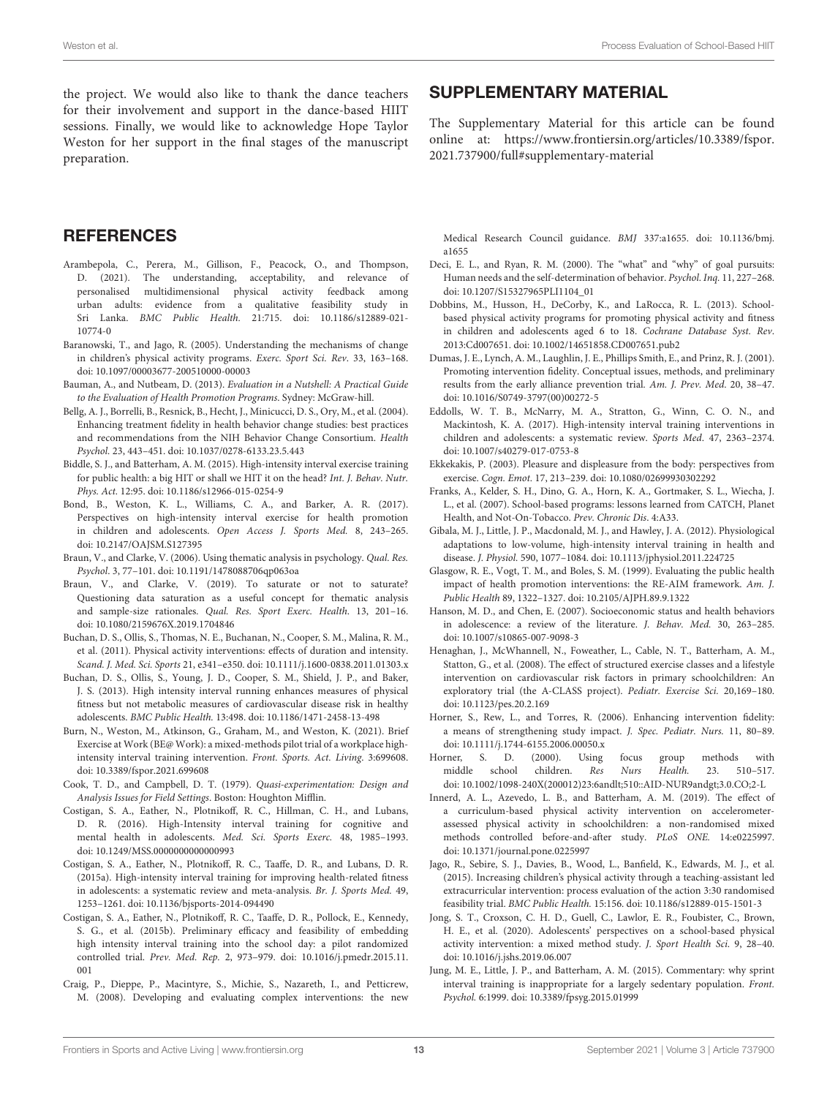the project. We would also like to thank the dance teachers for their involvement and support in the dance-based HIIT sessions. Finally, we would like to acknowledge Hope Taylor Weston for her support in the final stages of the manuscript preparation.

### **REFERENCES**

- <span id="page-12-25"></span>Arambepola, C., Perera, M., Gillison, F., Peacock, O., and Thompson, D. (2021). The understanding, acceptability, and relevance of personalised multidimensional physical activity feedback among urban adults: evidence from a qualitative feasibility study in Sri Lanka. BMC Public Health. [21:715. doi: 10.1186/s12889-021-](https://doi.org/10.1186/s12889-021-10774-0) 10774-0
- <span id="page-12-8"></span>Baranowski, T., and Jago, R. (2005). Understanding the mechanisms of change in children's physical activity programs. Exerc. Sport Sci. Rev. 33, 163–168. doi: [10.1097/00003677-200510000-00003](https://doi.org/10.1097/00003677-200510000-00003)
- <span id="page-12-3"></span>Bauman, A., and Nutbeam, D. (2013). Evaluation in a Nutshell: A Practical Guide to the Evaluation of Health Promotion Programs. Sydney: McGraw-hill.
- <span id="page-12-7"></span>Bellg, A. J., Borrelli, B., Resnick, B., Hecht, J., Minicucci, D. S., Ory, M., et al. (2004). Enhancing treatment fidelity in health behavior change studies: best practices and recommendations from the NIH Behavior Change Consortium. Health Psychol. 23, 443–451. doi: [10.1037/0278-6133.23.5.443](https://doi.org/10.1037/0278-6133.23.5.443)
- <span id="page-12-12"></span>Biddle, S. J., and Batterham, A. M. (2015). High-intensity interval exercise training for public health: a big HIT or shall we HIT it on the head? Int. J. Behav. Nutr. Phys. Act. 12:95. doi: [10.1186/s12966-015-0254-9](https://doi.org/10.1186/s12966-015-0254-9)
- <span id="page-12-2"></span>Bond, B., Weston, K. L., Williams, C. A., and Barker, A. R. (2017). Perspectives on high-intensity interval exercise for health promotion in children and adolescents. Open Access J. Sports Med. 8, 243–265. doi: [10.2147/OAJSM.S127395](https://doi.org/10.2147/OAJSM.S127395)
- <span id="page-12-23"></span>Braun, V., and Clarke, V. (2006). Using thematic analysis in psychology. Qual. Res. Psychol. 3, 77–101. doi: [10.1191/1478088706qp063oa](https://doi.org/10.1191/1478088706qp063oa)
- <span id="page-12-24"></span>Braun, V., and Clarke, V. (2019). To saturate or not to saturate? Questioning data saturation as a useful concept for thematic analysis and sample-size rationales. Qual. Res. Sport Exerc. Health. 13, 201–16. doi: [10.1080/2159676X.2019.1704846](https://doi.org/10.1080/2159676X.2019.1704846)
- <span id="page-12-30"></span>Buchan, D. S., Ollis, S., Thomas, N. E., Buchanan, N., Cooper, S. M., Malina, R. M., et al. (2011). Physical activity interventions: effects of duration and intensity. Scand. J. Med. Sci. Sports 21, e341–e350. doi: [10.1111/j.1600-0838.2011.01303.x](https://doi.org/10.1111/j.1600-0838.2011.01303.x)
- <span id="page-12-15"></span>Buchan, D. S., Ollis, S., Young, J. D., Cooper, S. M., Shield, J. P., and Baker, J. S. (2013). High intensity interval running enhances measures of physical fitness but not metabolic measures of cardiovascular disease risk in healthy adolescents. BMC Public Health. 13:498. doi: [10.1186/1471-2458-13-498](https://doi.org/10.1186/1471-2458-13-498)
- <span id="page-12-14"></span>Burn, N., Weston, M., Atkinson, G., Graham, M., and Weston, K. (2021). Brief Exercise at Work (BE@ Work): a mixed-methods pilot trial of a workplace highintensity interval training intervention. Front. Sports. Act. Living. 3:699608. doi: [10.3389/fspor.2021.699608](https://doi.org/10.3389/fspor.2021.699608)
- <span id="page-12-18"></span>Cook, T. D., and Campbell, D. T. (1979). Quasi-experimentation: Design and Analysis Issues for Field Settings. Boston: Houghton Mifflin.
- <span id="page-12-29"></span>Costigan, S. A., Eather, N., Plotnikoff, R. C., Hillman, C. H., and Lubans, D. R. (2016). High-Intensity interval training for cognitive and mental health in adolescents. Med. Sci. Sports Exerc. 48, 1985–1993. doi: [10.1249/MSS.0000000000000993](https://doi.org/10.1249/MSS.0000000000000993)
- <span id="page-12-11"></span>Costigan, S. A., Eather, N., Plotnikoff, R. C., Taaffe, D. R., and Lubans, D. R. (2015a). High-intensity interval training for improving health-related fitness in adolescents: a systematic review and meta-analysis. Br. J. Sports Med. 49, 1253–1261. doi: [10.1136/bjsports-2014-094490](https://doi.org/10.1136/bjsports-2014-094490)
- <span id="page-12-16"></span>Costigan, S. A., Eather, N., Plotnikoff, R. C., Taaffe, D. R., Pollock, E., Kennedy, S. G., et al. (2015b). Preliminary efficacy and feasibility of embedding high intensity interval training into the school day: a pilot randomized controlled trial. Prev. Med. Rep. [2, 973–979. doi: 10.1016/j.pmedr.2015.11.](https://doi.org/10.1016/j.pmedr.2015.11.001) 001
- <span id="page-12-19"></span>Craig, P., Dieppe, P., Macintyre, S., Michie, S., Nazareth, I., and Petticrew, M. (2008). Developing and evaluating complex interventions: the new

## SUPPLEMENTARY MATERIAL

<span id="page-12-21"></span>The Supplementary Material for this article can be found [online at: https://www.frontiersin.org/articles/10.3389/fspor.](https://www.frontiersin.org/articles/10.3389/fspor.2021.737900/full#supplementary-material) 2021.737900/full#supplementary-material

[Medical Research Council guidance.](https://doi.org/10.1136/bmj.a1655) BMJ 337:a1655. doi: 10.1136/bmj. a1655

- <span id="page-12-31"></span>Deci, E. L., and Ryan, R. M. (2000). The "what" and "why" of goal pursuits: Human needs and the self-determination of behavior. Psychol. Inq. 11, 227–268. doi: [10.1207/S15327965PLI1104\\_01](https://doi.org/10.1207/S15327965PLI1104_01)
- <span id="page-12-0"></span>Dobbins, M., Husson, H., DeCorby, K., and LaRocca, R. L. (2013). Schoolbased physical activity programs for promoting physical activity and fitness in children and adolescents aged 6 to 18. Cochrane Database Syst. Rev. 2013:Cd007651. doi: [10.1002/14651858.CD007651.pub2](https://doi.org/10.1002/14651858.CD007651.pub2)
- <span id="page-12-5"></span>Dumas, J. E., Lynch, A. M., Laughlin, J. E., Phillips Smith, E., and Prinz, R. J. (2001). Promoting intervention fidelity. Conceptual issues, methods, and preliminary results from the early alliance prevention trial. Am. J. Prev. Med. 20, 38–47. doi: [10.1016/S0749-3797\(00\)00272-5](https://doi.org/10.1016/S0749-3797(00)00272-5)
- <span id="page-12-10"></span>Eddolls, W. T. B., McNarry, M. A., Stratton, G., Winn, C. O. N., and Mackintosh, K. A. (2017). High-intensity interval training interventions in children and adolescents: a systematic review. Sports Med. 47, 2363–2374. doi: [10.1007/s40279-017-0753-8](https://doi.org/10.1007/s40279-017-0753-8)
- <span id="page-12-28"></span>Ekkekakis, P. (2003). Pleasure and displeasure from the body: perspectives from exercise. Cogn. Emot. 17, 213–239. doi: [10.1080/02699930302292](https://doi.org/10.1080/02699930302292)
- <span id="page-12-1"></span>Franks, A., Kelder, S. H., Dino, G. A., Horn, K. A., Gortmaker, S. L., Wiecha, J. L., et al. (2007). School-based programs: lessons learned from CATCH, Planet Health, and Not-On-Tobacco. Prev. Chronic Dis. 4:A33.
- <span id="page-12-9"></span>Gibala, M. J., Little, J. P., Macdonald, M. J., and Hawley, J. A. (2012). Physiological adaptations to low-volume, high-intensity interval training in health and disease. J. Physiol. 590, 1077–1084. doi: [10.1113/jphysiol.2011.224725](https://doi.org/10.1113/jphysiol.2011.224725)
- <span id="page-12-22"></span>Glasgow, R. E., Vogt, T. M., and Boles, S. M. (1999). Evaluating the public health impact of health promotion interventions: the RE-AIM framework. Am. J. Public Health 89, 1322–1327. doi: [10.2105/AJPH.89.9.1322](https://doi.org/10.2105/AJPH.89.9.1322)
- <span id="page-12-32"></span>Hanson, M. D., and Chen, E. (2007). Socioeconomic status and health behaviors in adolescence: a review of the literature. J. Behav. Med. 30, 263–285. doi: [10.1007/s10865-007-9098-3](https://doi.org/10.1007/s10865-007-9098-3)
- <span id="page-12-17"></span>Henaghan, J., McWhannell, N., Foweather, L., Cable, N. T., Batterham, A. M., Statton, G., et al. (2008). The effect of structured exercise classes and a lifestyle intervention on cardiovascular risk factors in primary schoolchildren: An exploratory trial (the A-CLASS project). Pediatr. Exercise Sci. 20,169–180. doi: [10.1123/pes.20.2.169](https://doi.org/10.1123/pes.20.2.169)
- <span id="page-12-6"></span>Horner, S., Rew, L., and Torres, R. (2006). Enhancing intervention fidelity: a means of strengthening study impact. J. Spec. Pediatr. Nurs. 11, 80–89. doi: [10.1111/j.1744-6155.2006.00050.x](https://doi.org/10.1111/j.1744-6155.2006.00050.x)
- <span id="page-12-20"></span>Horner, S. D. (2000). Using focus group methods with middle school children. Res Nurs Health. 23. 510-517. middle school children. Res Nurs Health. 23. doi: [10.1002/1098-240X\(200012\)23:6andlt;510::AID-NUR9andgt;3.0.CO;2-L](https://doi.org/10.1002/1098-240X(200012)23:6andlt;510::AID-NUR9andgt;3.0.CO;2-L)
- <span id="page-12-26"></span>Innerd, A. L., Azevedo, L. B., and Batterham, A. M. (2019). The effect of a curriculum-based physical activity intervention on accelerometerassessed physical activity in schoolchildren: a non-randomised mixed methods controlled before-and-after study. PLoS ONE. 14:e0225997. doi: [10.1371/journal.pone.0225997](https://doi.org/10.1371/journal.pone.0225997)
- <span id="page-12-4"></span>Jago, R., Sebire, S. J., Davies, B., Wood, L., Banfield, K., Edwards, M. J., et al. (2015). Increasing children's physical activity through a teaching-assistant led extracurricular intervention: process evaluation of the action 3:30 randomised feasibility trial. BMC Public Health. 15:156. doi: [10.1186/s12889-015-1501-3](https://doi.org/10.1186/s12889-015-1501-3)
- <span id="page-12-27"></span>Jong, S. T., Croxson, C. H. D., Guell, C., Lawlor, E. R., Foubister, C., Brown, H. E., et al. (2020). Adolescents' perspectives on a school-based physical activity intervention: a mixed method study. J. Sport Health Sci. 9, 28–40. doi: [10.1016/j.jshs.2019.06.007](https://doi.org/10.1016/j.jshs.2019.06.007)
- <span id="page-12-13"></span>Jung, M. E., Little, J. P., and Batterham, A. M. (2015). Commentary: why sprint interval training is inappropriate for a largely sedentary population. Front. Psychol. 6:1999. doi: [10.3389/fpsyg.2015.01999](https://doi.org/10.3389/fpsyg.2015.01999)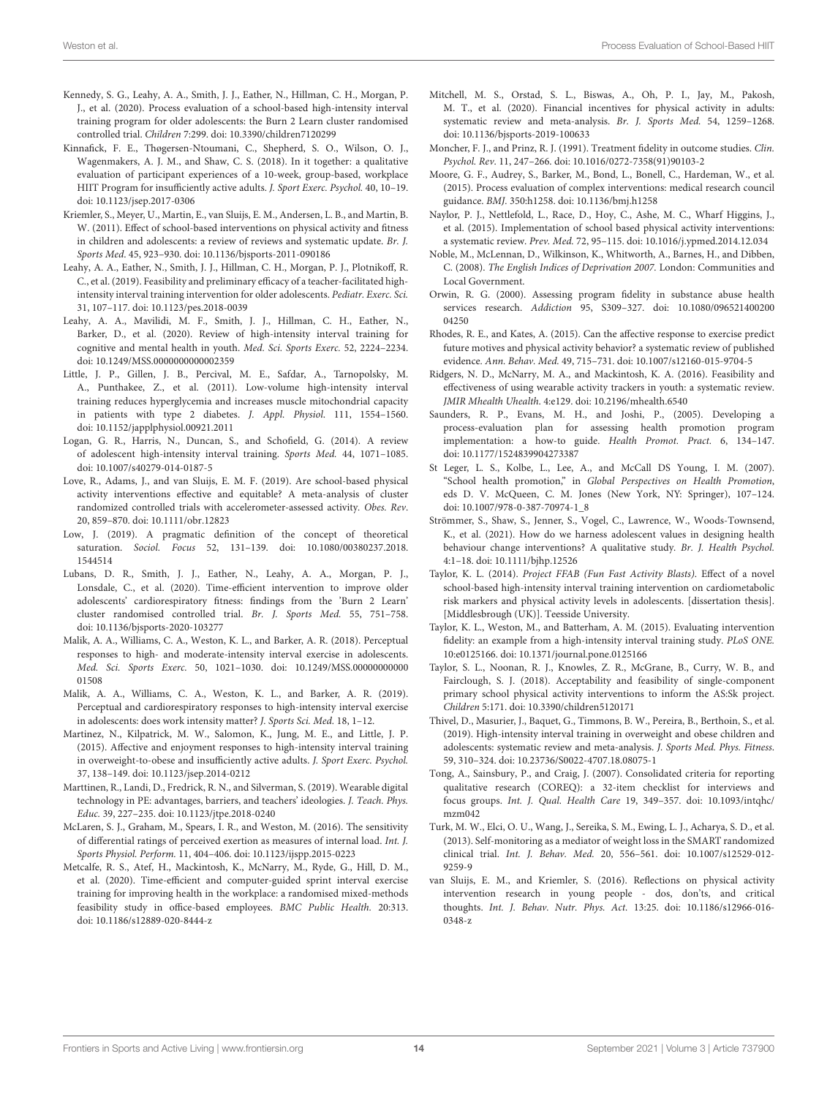- <span id="page-13-14"></span>Kennedy, S. G., Leahy, A. A., Smith, J. J., Eather, N., Hillman, C. H., Morgan, P. J., et al. (2020). Process evaluation of a school-based high-intensity interval training program for older adolescents: the Burn 2 Learn cluster randomised controlled trial. Children 7:299. doi: [10.3390/children7120299](https://doi.org/10.3390/children7120299)
- <span id="page-13-11"></span>Kinnafick, F. E., Thøgersen-Ntoumani, C., Shepherd, S. O., Wilson, O. J., Wagenmakers, A. J. M., and Shaw, C. S. (2018). In it together: a qualitative evaluation of participant experiences of a 10-week, group-based, workplace HIIT Program for insufficiently active adults. J. Sport Exerc. Psychol. 40, 10–19. doi: [10.1123/jsep.2017-0306](https://doi.org/10.1123/jsep.2017-0306)
- <span id="page-13-0"></span>Kriemler, S., Meyer, U., Martin, E., van Sluijs, E. M., Andersen, L. B., and Martin, B. W. (2011). Effect of school-based interventions on physical activity and fitness in children and adolescents: a review of reviews and systematic update. Br. J. Sports Med. 45, 923–930. doi: [10.1136/bjsports-2011-090186](https://doi.org/10.1136/bjsports-2011-090186)
- <span id="page-13-13"></span>Leahy, A. A., Eather, N., Smith, J. J., Hillman, C. H., Morgan, P. J., Plotnikoff, R. C., et al. (2019). Feasibility and preliminary efficacy of a teacher-facilitated highintensity interval training intervention for older adolescents. Pediatr. Exerc. Sci. 31, 107–117. doi: [10.1123/pes.2018-0039](https://doi.org/10.1123/pes.2018-0039)
- <span id="page-13-10"></span>Leahy, A. A., Mavilidi, M. F., Smith, J. J., Hillman, C. H., Eather, N., Barker, D., et al. (2020). Review of high-intensity interval training for cognitive and mental health in youth. Med. Sci. Sports Exerc. 52, 2224–2234. doi: [10.1249/MSS.0000000000002359](https://doi.org/10.1249/MSS.0000000000002359)
- <span id="page-13-19"></span>Little, J. P., Gillen, J. B., Percival, M. E., Safdar, A., Tarnopolsky, M. A., Punthakee, Z., et al. (2011). Low-volume high-intensity interval training reduces hyperglycemia and increases muscle mitochondrial capacity in patients with type 2 diabetes. J. Appl. Physiol. 111, 1554–1560. doi: [10.1152/japplphysiol.00921.2011](https://doi.org/10.1152/japplphysiol.00921.2011)
- <span id="page-13-8"></span>Logan, G. R., Harris, N., Duncan, S., and Schofield, G. (2014). A review of adolescent high-intensity interval training. Sports Med. 44, 1071–1085. doi: [10.1007/s40279-014-0187-5](https://doi.org/10.1007/s40279-014-0187-5)
- <span id="page-13-3"></span>Love, R., Adams, J., and van Sluijs, E. M. F. (2019). Are school-based physical activity interventions effective and equitable? A meta-analysis of cluster randomized controlled trials with accelerometer-assessed activity. Obes. Rev. 20, 859–870. doi: [10.1111/obr.12823](https://doi.org/10.1111/obr.12823)
- <span id="page-13-21"></span>Low, J. (2019). A pragmatic definition of the concept of theoretical saturation. Sociol. Focus [52, 131–139. doi: 10.1080/00380237.2018.](https://doi.org/10.1080/00380237.2018.1544514) 1544514
- <span id="page-13-15"></span>Lubans, D. R., Smith, J. J., Eather, N., Leahy, A. A., Morgan, P. J., Lonsdale, C., et al. (2020). Time-efficient intervention to improve older adolescents' cardiorespiratory fitness: findings from the 'Burn 2 Learn' cluster randomised controlled trial. Br. J. Sports Med. 55, 751–758. doi: [10.1136/bjsports-2020-103277](https://doi.org/10.1136/bjsports-2020-103277)
- <span id="page-13-32"></span>Malik, A. A., Williams, C. A., Weston, K. L., and Barker, A. R. (2018). Perceptual responses to high- and moderate-intensity interval exercise in adolescents. Med. Sci. Sports Exerc. [50, 1021–1030. doi: 10.1249/MSS.00000000000](https://doi.org/10.1249/MSS.0000000000001508) 01508
- <span id="page-13-23"></span>Malik, A. A., Williams, C. A., Weston, K. L., and Barker, A. R. (2019). Perceptual and cardiorespiratory responses to high-intensity interval exercise in adolescents: does work intensity matter? J. Sports Sci. Med. 18, 1–12.
- <span id="page-13-22"></span>Martinez, N., Kilpatrick, M. W., Salomon, K., Jung, M. E., and Little, J. P. (2015). Affective and enjoyment responses to high-intensity interval training in overweight-to-obese and insufficiently active adults. J. Sport Exerc. Psychol. 37, 138–149. doi: [10.1123/jsep.2014-0212](https://doi.org/10.1123/jsep.2014-0212)
- <span id="page-13-26"></span>Marttinen, R., Landi, D., Fredrick, R. N., and Silverman, S. (2019). Wearable digital technology in PE: advantages, barriers, and teachers' ideologies. J. Teach. Phys. Educ. 39, 227–235. doi: [10.1123/jtpe.2018-0240](https://doi.org/10.1123/jtpe.2018-0240)
- <span id="page-13-27"></span>McLaren, S. J., Graham, M., Spears, I. R., and Weston, M. (2016). The sensitivity of differential ratings of perceived exertion as measures of internal load. Int. J. Sports Physiol. Perform. 11, 404–406. doi: [10.1123/ijspp.2015-0223](https://doi.org/10.1123/ijspp.2015-0223)
- <span id="page-13-12"></span>Metcalfe, R. S., Atef, H., Mackintosh, K., McNarry, M., Ryde, G., Hill, D. M., et al. (2020). Time-efficient and computer-guided sprint interval exercise training for improving health in the workplace: a randomised mixed-methods feasibility study in office-based employees. BMC Public Health. 20:313. doi: [10.1186/s12889-020-8444-z](https://doi.org/10.1186/s12889-020-8444-z)
- <span id="page-13-33"></span>Mitchell, M. S., Orstad, S. L., Biswas, A., Oh, P. I., Jay, M., Pakosh, M. T., et al. (2020). Financial incentives for physical activity in adults: systematic review and meta-analysis. Br. J. Sports Med. 54, 1259–1268. doi: [10.1136/bjsports-2019-100633](https://doi.org/10.1136/bjsports-2019-100633)
- <span id="page-13-6"></span>Moncher, F. J., and Prinz, R. J. (1991). Treatment fidelity in outcome studies. Clin. Psychol. Rev. 11, 247–266. doi: [10.1016/0272-7358\(91\)90103-2](https://doi.org/10.1016/0272-7358(91)90103-2)
- <span id="page-13-5"></span>Moore, G. F., Audrey, S., Barker, M., Bond, L., Bonell, C., Hardeman, W., et al. (2015). Process evaluation of complex interventions: medical research council guidance. BMJ. 350:h1258. doi: [10.1136/bmj.h1258](https://doi.org/10.1136/bmj.h1258)
- <span id="page-13-7"></span>Naylor, P. J., Nettlefold, L., Race, D., Hoy, C., Ashe, M. C., Wharf Higgins, J., et al. (2015). Implementation of school based physical activity interventions: a systematic review. Prev. Med. 72, 95–115. doi: [10.1016/j.ypmed.2014.12.034](https://doi.org/10.1016/j.ypmed.2014.12.034)
- <span id="page-13-18"></span>Noble, M., McLennan, D., Wilkinson, K., Whitworth, A., Barnes, H., and Dibben, C. (2008). The English Indices of Deprivation 2007. London: Communities and Local Government.
- <span id="page-13-28"></span>Orwin, R. G. (2000). Assessing program fidelity in substance abuse health services research. Addiction [95, S309–327. doi: 10.1080/096521400200](https://doi.org/10.1080/09652140020004250) 04250
- <span id="page-13-31"></span>Rhodes, R. E., and Kates, A. (2015). Can the affective response to exercise predict future motives and physical activity behavior? a systematic review of published evidence. Ann. Behav. Med. 49, 715–731. doi: [10.1007/s12160-015-9704-5](https://doi.org/10.1007/s12160-015-9704-5)
- <span id="page-13-25"></span>Ridgers, N. D., McNarry, M. A., and Mackintosh, K. A. (2016). Feasibility and effectiveness of using wearable activity trackers in youth: a systematic review. JMIR Mhealth Uhealth. 4:e129. doi: [10.2196/mhealth.6540](https://doi.org/10.2196/mhealth.6540)
- <span id="page-13-4"></span>Saunders, R. P., Evans, M. H., and Joshi, P., (2005). Developing a process-evaluation plan for assessing health promotion program implementation: a how-to guide. Health Promot. Pract. 6, 134–147. doi: [10.1177/1524839904273387](https://doi.org/10.1177/1524839904273387)
- <span id="page-13-1"></span>St Leger, L. S., Kolbe, L., Lee, A., and McCall DS Young, I. M. (2007). "School health promotion," in Global Perspectives on Health Promotion, eds D. V. McQueen, C. M. Jones (New York, NY: Springer), 107–124. doi: [10.1007/978-0-387-70974-1\\_8](https://doi.org/10.1007/978-0-387-70974-1_8)
- <span id="page-13-30"></span>Strömmer, S., Shaw, S., Jenner, S., Vogel, C., Lawrence, W., Woods-Townsend, K., et al. (2021). How do we harness adolescent values in designing health behaviour change interventions? A qualitative study. Br. J. Health Psychol. 4:1–18. doi: [10.1111/bjhp.12526](https://doi.org/10.1111/bjhp.12526)
- <span id="page-13-20"></span>Taylor, K. L. (2014). Project FFAB (Fun Fast Activity Blasts). Effect of a novel school-based high-intensity interval training intervention on cardiometabolic risk markers and physical activity levels in adolescents. [dissertation thesis]. [Middlesbrough (UK)]. Teesside University.
- <span id="page-13-16"></span>Taylor, K. L., Weston, M., and Batterham, A. M. (2015). Evaluating intervention fidelity: an example from a high-intensity interval training study. PLoS ONE. 10:e0125166. doi: [10.1371/journal.pone.0125166](https://doi.org/10.1371/journal.pone.0125166)
- <span id="page-13-29"></span>Taylor, S. L., Noonan, R. J., Knowles, Z. R., McGrane, B., Curry, W. B., and Fairclough, S. J. (2018). Acceptability and feasibility of single-component primary school physical activity interventions to inform the AS:Sk project. Children 5:171. doi: [10.3390/children5120171](https://doi.org/10.3390/children5120171)
- <span id="page-13-9"></span>Thivel, D., Masurier, J., Baquet, G., Timmons, B. W., Pereira, B., Berthoin, S., et al. (2019). High-intensity interval training in overweight and obese children and adolescents: systematic review and meta-analysis. J. Sports Med. Phys. Fitness. 59, 310–324. doi: [10.23736/S0022-4707.18.08075-1](https://doi.org/10.23736/S0022-4707.18.08075-1)
- <span id="page-13-17"></span>Tong, A., Sainsbury, P., and Craig, J. (2007). Consolidated criteria for reporting qualitative research (COREQ): a 32-item checklist for interviews and focus groups. Int. J. Qual. Health Care [19, 349–357. doi: 10.1093/intqhc/](https://doi.org/10.1093/intqhc/mzm042) mzm042
- <span id="page-13-24"></span>Turk, M. W., Elci, O. U., Wang, J., Sereika, S. M., Ewing, L. J., Acharya, S. D., et al. (2013). Self-monitoring as a mediator of weight loss in the SMART randomized clinical trial. Int. J. Behav. Med. [20, 556–561. doi: 10.1007/s12529-012-](https://doi.org/10.1007/s12529-012-9259-9) 9259-9
- <span id="page-13-2"></span>van Sluijs, E. M., and Kriemler, S. (2016). Reflections on physical activity intervention research in young people - dos, don'ts, and critical thoughts. Int. J. Behav. Nutr. Phys. Act. [13:25. doi: 10.1186/s12966-016-](https://doi.org/10.1186/s12966-016-0348-z) 0348-z